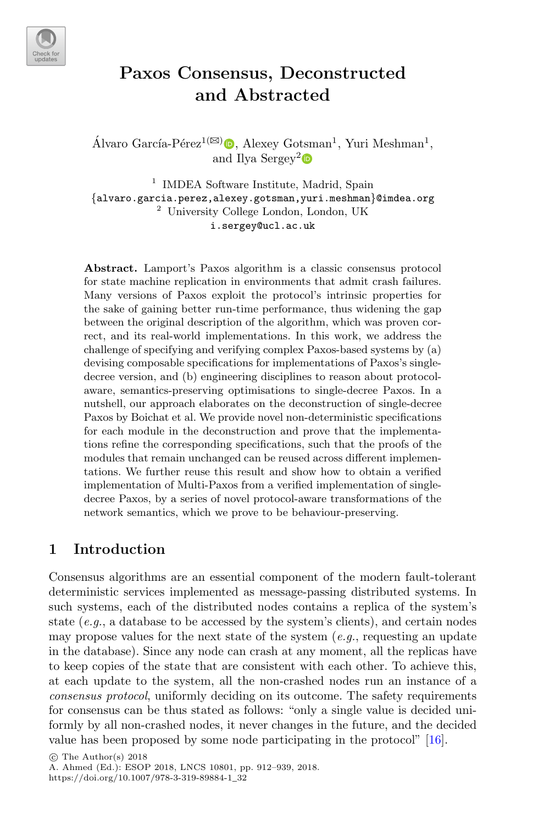

## **Paxos Consensus, Deconstructed and Abstracted**

Álvaro García-Pérez<sup>1( $\boxtimes$ </sup>) $\bullet$ [,](http://orcid.org/0000-0002-9558-6037) Alexey Gotsman<sup>1</sup>, Yuri Meshman<sup>1</sup>, and Ilya Sergey<sup>[2](http://orcid.org/0000-0003-4250-5392)</sup> $\bullet$ 

<sup>1</sup> IMDEA Software Institute, Madrid, Spain {alvaro.garcia.perez,alexey.gotsman,yuri.meshman}@imdea.org <sup>2</sup> University College London, London, UK i.sergey@ucl.ac.uk

**Abstract.** Lamport's Paxos algorithm is a classic consensus protocol for state machine replication in environments that admit crash failures. Many versions of Paxos exploit the protocol's intrinsic properties for the sake of gaining better run-time performance, thus widening the gap between the original description of the algorithm, which was proven correct, and its real-world implementations. In this work, we address the challenge of specifying and verifying complex Paxos-based systems by (a) devising composable specifications for implementations of Paxos's singledecree version, and (b) engineering disciplines to reason about protocolaware, semantics-preserving optimisations to single-decree Paxos. In a nutshell, our approach elaborates on the deconstruction of single-decree Paxos by Boichat et al. We provide novel non-deterministic specifications for each module in the deconstruction and prove that the implementations refine the corresponding specifications, such that the proofs of the modules that remain unchanged can be reused across different implementations. We further reuse this result and show how to obtain a verified implementation of Multi-Paxos from a verified implementation of singledecree Paxos, by a series of novel protocol-aware transformations of the network semantics, which we prove to be behaviour-preserving.

## **1 Introduction**

Consensus algorithms are an essential component of the modern fault-tolerant deterministic services implemented as message-passing distributed systems. In such systems, each of the distributed nodes contains a replica of the system's state (*e.g.*, a database to be accessed by the system's clients), and certain nodes may propose values for the next state of the system (*e.g.*, requesting an update in the database). Since any node can crash at any moment, all the replicas have to keep copies of the state that are consistent with each other. To achieve this, at each update to the system, all the non-crashed nodes run an instance of a *consensus protocol*, uniformly deciding on its outcome. The safety requirements for consensus can be thus stated as follows: "only a single value is decided uniformly by all non-crashed nodes, it never changes in the future, and the decided value has been proposed by some node participating in the protocol" [\[16\]](#page-26-0).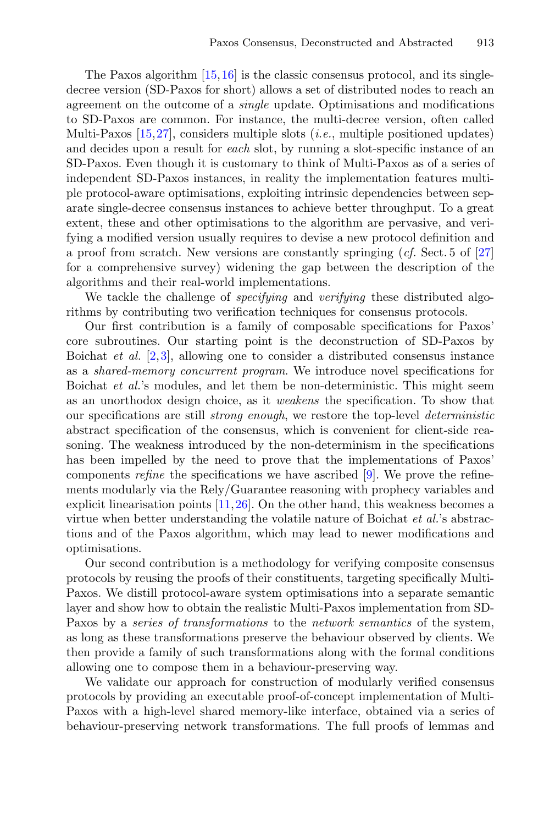The Paxos algorithm  $[15,16]$  $[15,16]$  $[15,16]$  is the classic consensus protocol, and its singledecree version (SD-Paxos for short) allows a set of distributed nodes to reach an agreement on the outcome of a *single* update. Optimisations and modifications to SD-Paxos are common. For instance, the multi-decree version, often called Multi-Paxos [\[15,](#page-26-1)[27\]](#page-27-0), considers multiple slots (*i.e.*, multiple positioned updates) and decides upon a result for *each* slot, by running a slot-specific instance of an SD-Paxos. Even though it is customary to think of Multi-Paxos as of a series of independent SD-Paxos instances, in reality the implementation features multiple protocol-aware optimisations, exploiting intrinsic dependencies between separate single-decree consensus instances to achieve better throughput. To a great extent, these and other optimisations to the algorithm are pervasive, and verifying a modified version usually requires to devise a new protocol definition and a proof from scratch. New versions are constantly springing (*cf.* Sect. 5 of [\[27\]](#page-27-0) for a comprehensive survey) widening the gap between the description of the algorithms and their real-world implementations.

We tackle the challenge of *specifying* and *verifying* these distributed algorithms by contributing two verification techniques for consensus protocols.

Our first contribution is a family of composable specifications for Paxos' core subroutines. Our starting point is the deconstruction of SD-Paxos by Boichat *et al.* [\[2](#page-25-0),[3\]](#page-26-2), allowing one to consider a distributed consensus instance as a *shared-memory concurrent program*. We introduce novel specifications for Boichat *et al.*'s modules, and let them be non-deterministic. This might seem as an unorthodox design choice, as it *weakens* the specification. To show that our specifications are still *strong enough*, we restore the top-level *deterministic* abstract specification of the consensus, which is convenient for client-side reasoning. The weakness introduced by the non-determinism in the specifications has been impelled by the need to prove that the implementations of Paxos' components *refine* the specifications we have ascribed [\[9](#page-26-3)]. We prove the refinements modularly via the Rely/Guarantee reasoning with prophecy variables and explicit linearisation points [\[11](#page-26-4)[,26](#page-27-1)]. On the other hand, this weakness becomes a virtue when better understanding the volatile nature of Boichat *et al.*'s abstractions and of the Paxos algorithm, which may lead to newer modifications and optimisations.

Our second contribution is a methodology for verifying composite consensus protocols by reusing the proofs of their constituents, targeting specifically Multi-Paxos. We distill protocol-aware system optimisations into a separate semantic layer and show how to obtain the realistic Multi-Paxos implementation from SD-Paxos by a *series of transformations* to the *network semantics* of the system, as long as these transformations preserve the behaviour observed by clients. We then provide a family of such transformations along with the formal conditions allowing one to compose them in a behaviour-preserving way.

We validate our approach for construction of modularly verified consensus protocols by providing an executable proof-of-concept implementation of Multi-Paxos with a high-level shared memory-like interface, obtained via a series of behaviour-preserving network transformations. The full proofs of lemmas and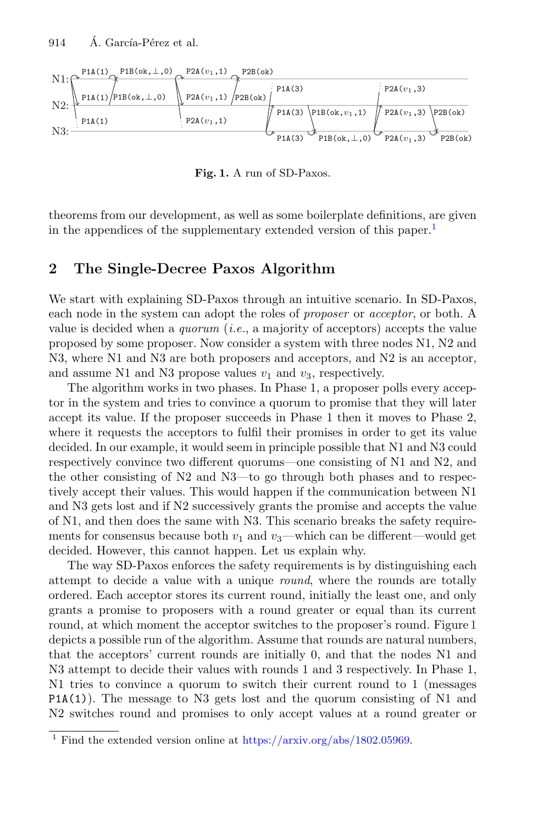

<span id="page-2-1"></span>**Fig. 1.** A run of SD-Paxos.

theorems from our development, as well as some boilerplate definitions, are given in the appendices of the supplementary extended version of this paper.<sup>[1](#page-2-0)</sup>

## <span id="page-2-2"></span>**2 The Single-Decree Paxos Algorithm**

We start with explaining SD-Paxos through an intuitive scenario. In SD-Paxos, each node in the system can adopt the roles of *proposer* or *acceptor*, or both. A value is decided when a *quorum* (*i.e.*, a majority of acceptors) accepts the value proposed by some proposer. Now consider a system with three nodes N1, N2 and N3, where N1 and N3 are both proposers and acceptors, and N2 is an acceptor, and assume N1 and N3 propose values  $v_1$  and  $v_3$ , respectively.

The algorithm works in two phases. In Phase 1, a proposer polls every acceptor in the system and tries to convince a quorum to promise that they will later accept its value. If the proposer succeeds in Phase 1 then it moves to Phase 2, where it requests the acceptors to fulfil their promises in order to get its value decided. In our example, it would seem in principle possible that N1 and N3 could respectively convince two different quorums—one consisting of N1 and N2, and the other consisting of N2 and N3—to go through both phases and to respectively accept their values. This would happen if the communication between N1 and N3 gets lost and if N2 successively grants the promise and accepts the value of N1, and then does the same with N3. This scenario breaks the safety requirements for consensus because both  $v_1$  and  $v_3$ —which can be different—would get decided. However, this cannot happen. Let us explain why.

The way SD-Paxos enforces the safety requirements is by distinguishing each attempt to decide a value with a unique *round*, where the rounds are totally ordered. Each acceptor stores its current round, initially the least one, and only grants a promise to proposers with a round greater or equal than its current round, at which moment the acceptor switches to the proposer's round. Figure [1](#page-2-1) depicts a possible run of the algorithm. Assume that rounds are natural numbers, that the acceptors' current rounds are initially 0, and that the nodes N1 and N3 attempt to decide their values with rounds 1 and 3 respectively. In Phase 1, N1 tries to convince a quorum to switch their current round to 1 (messages P1A(1)). The message to N3 gets lost and the quorum consisting of N1 and N2 switches round and promises to only accept values at a round greater or

<span id="page-2-0"></span><sup>&</sup>lt;sup>1</sup> Find the extended version online at [https://arxiv.org/abs/1802.05969.](https://arxiv.org/abs/1802.05969)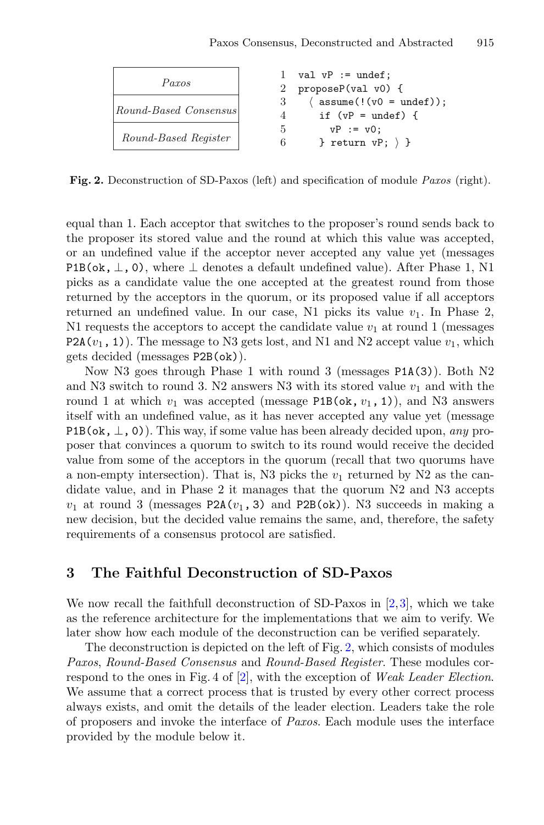

<span id="page-3-0"></span>**Fig. 2.** Deconstruction of SD-Paxos (left) and specification of module *Paxos* (right).

equal than 1. Each acceptor that switches to the proposer's round sends back to the proposer its stored value and the round at which this value was accepted, or an undefined value if the acceptor never accepted any value yet (messages P1B(ok,  $\perp$ , 0), where  $\perp$  denotes a default undefined value). After Phase 1, N1 picks as a candidate value the one accepted at the greatest round from those returned by the acceptors in the quorum, or its proposed value if all acceptors returned an undefined value. In our case, N1 picks its value  $v_1$ . In Phase 2, N1 requests the acceptors to accept the candidate value  $v_1$  at round 1 (messages P2A( $v_1$ , 1)). The message to N3 gets lost, and N1 and N2 accept value  $v_1$ , which gets decided (messages P2B(ok)).

Now N3 goes through Phase 1 with round 3 (messages P1A(3)). Both N2 and N3 switch to round 3. N2 answers N3 with its stored value  $v_1$  and with the round 1 at which  $v_1$  was accepted (message P1B(ok,  $v_1$ , 1)), and N3 answers itself with an undefined value, as it has never accepted any value yet (message P1B(ok, ⊥, 0)). This way, if some value has been already decided upon, *any* proposer that convinces a quorum to switch to its round would receive the decided value from some of the acceptors in the quorum (recall that two quorums have a non-empty intersection). That is, N3 picks the  $v_1$  returned by N2 as the candidate value, and in Phase 2 it manages that the quorum N2 and N3 accepts  $v_1$  at round 3 (messages P2A( $v_1$ , 3) and P2B(ok)). N3 succeeds in making a new decision, but the decided value remains the same, and, therefore, the safety requirements of a consensus protocol are satisfied.

## <span id="page-3-1"></span>**3 The Faithful Deconstruction of SD-Paxos**

We now recall the faithfull deconstruction of SD-Paxos in [\[2](#page-25-0)[,3](#page-26-2)], which we take as the reference architecture for the implementations that we aim to verify. We later show how each module of the deconstruction can be verified separately.

The deconstruction is depicted on the left of Fig. [2,](#page-3-0) which consists of modules *Paxos*, *Round-Based Consensus* and *Round-Based Register*. These modules correspond to the ones in Fig. 4 of [\[2\]](#page-25-0), with the exception of *Weak Leader Election*. We assume that a correct process that is trusted by every other correct process always exists, and omit the details of the leader election. Leaders take the role of proposers and invoke the interface of *Paxos*. Each module uses the interface provided by the module below it.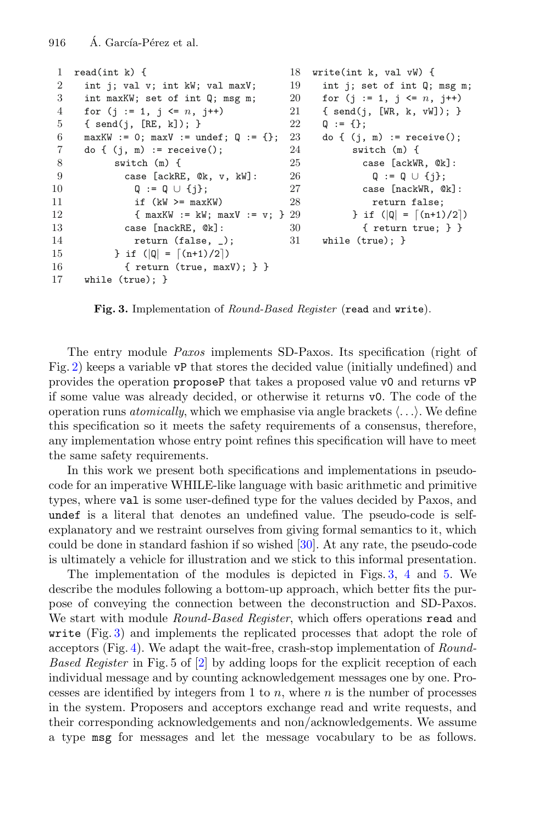```
1 read(int k) {<br>2 int i: yal;
       int j; val v; int kW; val maxV;
 3 int maxKW; set of int Q; msg m;<br>4 for (i := 1, i \leq n, i++)4 for (j := 1, j \le n, j++)<br>5 { send(i, [RE, k]): }
       \{ \text{send}(j, [RE, k]) ; \}6 maxKW := 0; maxV := undef; Q := \{\};<br>7 do { (i, m) := receive();
       do { (j, m) := receive();}8 switch (m) {
 9 case [ackRE, @k, v, kW]:
10 Q := Q \cup \{j\};<br>11 if (kW >= max)
                   if (kW >= maxKW)
12 { \{ } maxKW := kW; maxV := v; } 29
13 case [nackRE, @k]:
14 return (false, _);
15 } if (|\mathbb{Q}| = \lceil (n+1)/2 \rceil)<br>16 { return (true, max)
                 \{ return (true, maxV); \} }
17 while (true); }
                                                        18 write(int k, val vW) {
                                                        19 int j; set of int Q; msg m;<br>20 for (i := 1, i \le n, i++)
                                                        20 for (j := 1, j \le n, j++)<br>
21 f send(i. [WR. k. vW]): }
                                                        21 { send(j, [WR, k, vW]); }<br>22 0 := {}:
                                                        22 Q := \{\};<br>23 do { (i,
                                                                do \{ (j, m) := receive();
                                                        24 switch (m) {
                                                        25 case [ackWR, @k]:
                                                        26 Q := Q ∪ {j};<br>27 case [nackWR, ©
                                                        27 case [nackWR, @k]:<br>28 return false:
                                                                           return false;
                                                        29 \} if (|\mathbb{Q}| = \lceil (n+1)/2 \rceil)<br>30 \{ return true: \}30 { return true; } }<br>31 while (true): }
                                                                while (true); }
```
<span id="page-4-0"></span>**Fig. 3.** Implementation of *Round-Based Register* (read and write).

The entry module *Paxos* implements SD-Paxos. Its specification (right of Fig. [2\)](#page-3-0) keeps a variable vP that stores the decided value (initially undefined) and provides the operation proposeP that takes a proposed value v0 and returns vP if some value was already decided, or otherwise it returns v0. The code of the operation runs *atomically*, which we emphasise via angle brackets  $\langle \ldots \rangle$ . We define this specification so it meets the safety requirements of a consensus, therefore, any implementation whose entry point refines this specification will have to meet the same safety requirements.

In this work we present both specifications and implementations in pseudocode for an imperative WHILE-like language with basic arithmetic and primitive types, where val is some user-defined type for the values decided by Paxos, and undef is a literal that denotes an undefined value. The pseudo-code is selfexplanatory and we restraint ourselves from giving formal semantics to it, which could be done in standard fashion if so wished [\[30\]](#page-27-2). At any rate, the pseudo-code is ultimately a vehicle for illustration and we stick to this informal presentation.

The implementation of the modules is depicted in Figs. [3,](#page-4-0) [4](#page-5-0) and [5.](#page-6-0) We describe the modules following a bottom-up approach, which better fits the purpose of conveying the connection between the deconstruction and SD-Paxos. We start with module *Round-Based Register*, which offers operations read and write (Fig. [3\)](#page-4-0) and implements the replicated processes that adopt the role of acceptors (Fig. [4\)](#page-5-0). We adapt the wait-free, crash-stop implementation of *Round-Based Register* in Fig. 5 of [\[2](#page-25-0)] by adding loops for the explicit reception of each individual message and by counting acknowledgement messages one by one. Processes are identified by integers from 1 to  $n$ , where  $n$  is the number of processes in the system. Proposers and acceptors exchange read and write requests, and their corresponding acknowledgements and non/acknowledgements. We assume a type msg for messages and let the message vocabulary to be as follows.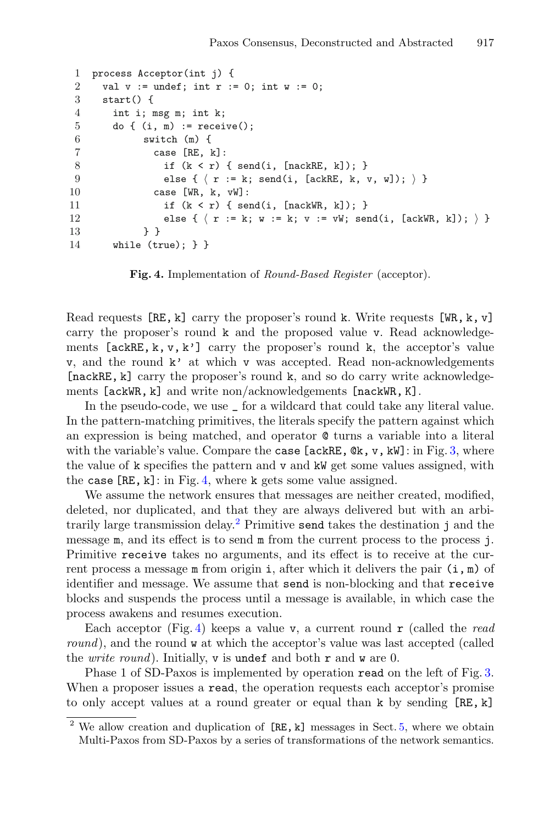```
1 process Acceptor(int j) {
2 val v := undef; int r := 0; int w := 0;
3 start() {
4 int i; msg m; int k;
5 do \{ (i, m) := receive();
6 switch (m) {
7 case [RE, k]:
8 if (k < r) { send(i, [nackRE, k]); }
9 else { \langle r := k; \text{ send}(i, [\text{ackRE}, k, v, w]) ; \rangle }
10 case [WR, k, vW]:
11 if (k < r) { send(i, [nackWR, k]); }
12 else { \langle r := k; w := k; v := vW; \text{send}(i, [ackWR, k]); \rangle }
13 \qquad \qquad \}14 while (true); } }
```
<span id="page-5-0"></span>**Fig. 4.** Implementation of *Round-Based Register* (acceptor).

Read requests [RE, k] carry the proposer's round k. Write requests [WR, k, v] carry the proposer's round k and the proposed value v. Read acknowledgements  $[ackR, k, v, k']$  carry the proposer's round k, the acceptor's value v, and the round k' at which v was accepted. Read non-acknowledgements [nackRE, k] carry the proposer's round k, and so do carry write acknowledgements [ackWR, k] and write non/acknowledgements [nackWR, K].

In the pseudo-code, we use \_ for a wildcard that could take any literal value. In the pattern-matching primitives, the literals specify the pattern against which an expression is being matched, and operator @ turns a variable into a literal with the variable's value. Compare the case  $[ackRE, \mathcal{Q}k, v, kW]$ : in Fig. [3,](#page-4-0) where the value of  $\bf{k}$  specifies the pattern and  $\bf{v}$  and  $\bf{k}W$  get some values assigned, with the case [RE, k]: in Fig. [4,](#page-5-0) where k gets some value assigned.

We assume the network ensures that messages are neither created, modified, deleted, nor duplicated, and that they are always delivered but with an arbi-trarily large transmission delay.<sup>[2](#page-5-1)</sup> Primitive send takes the destination  $\dot{\eta}$  and the message m, and its effect is to send m from the current process to the process j. Primitive receive takes no arguments, and its effect is to receive at the current process a message m from origin i, after which it delivers the pair  $(i, m)$  of identifier and message. We assume that send is non-blocking and that receive blocks and suspends the process until a message is available, in which case the process awakens and resumes execution.

Each acceptor (Fig. [4\)](#page-5-0) keeps a value v, a current round r (called the *read round*), and the round w at which the acceptor's value was last accepted (called the *write round*). Initially, v is undef and both r and w are 0.

Phase 1 of SD-Paxos is implemented by operation read on the left of Fig. [3.](#page-4-0) When a proposer issues a read, the operation requests each acceptor's promise to only accept values at a round greater or equal than k by sending [RE, k]

<span id="page-5-1"></span><sup>&</sup>lt;sup>2</sup> We allow creation and duplication of  $[RE, k]$  messages in Sect. [5,](#page-15-0) where we obtain Multi-Paxos from SD-Paxos by a series of transformations of the network semantics.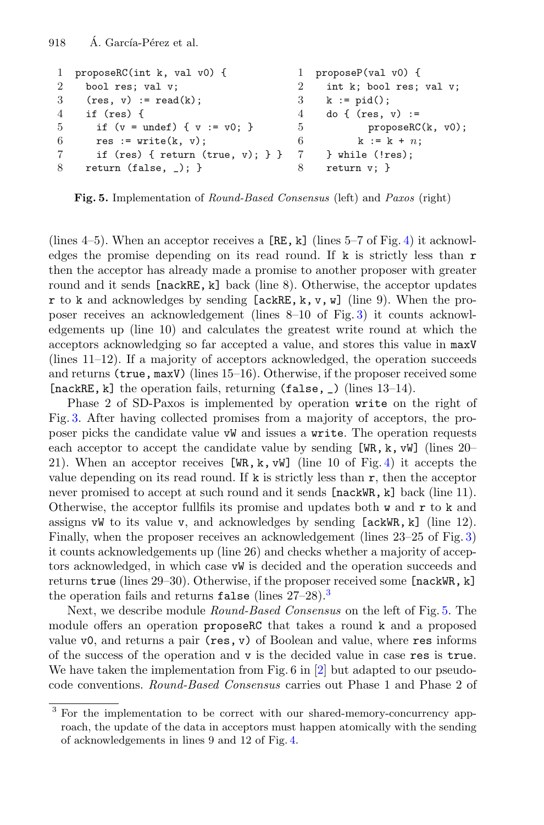|             | 1 proposeRC(int k, val v0) {                          |            | 1 proposeP(val v0) {    |
|-------------|-------------------------------------------------------|------------|-------------------------|
|             | 2 bool res; val v;                                    | 2          | int k; bool res; val v; |
|             | 3 (res, $v$ ) := read(k);                             |            | 3 $k := pid()$ ;        |
|             | $4$ if (res) $\{$                                     |            | 4 do { $(res, v) :=$    |
|             | 5 if $(v =$ undef) $\{ v := v0; \}$                   | $5\degree$ | proposeRC(k, v0);       |
| $6\quad$    | res := $write(k, v)$ ;                                | 6          | $k := k + n;$           |
| $7^{\circ}$ | if (res) { return (true, $v$ ); } } 7 } while (!res); |            |                         |
| 8           | return (false, $_{})$ ; }                             | 8          | return $v: \}$          |

<span id="page-6-0"></span>**Fig. 5.** Implementation of *Round-Based Consensus* (left) and *Paxos* (right)

(lines  $4-5$ ). When an acceptor receives a  $[RE, k]$  (lines  $5-7$  of Fig. [4\)](#page-5-0) it acknowledges the promise depending on its read round. If k is strictly less than  $r$ then the acceptor has already made a promise to another proposer with greater round and it sends [nackRE, k] back (line 8). Otherwise, the acceptor updates r to k and acknowledges by sending  $[ackRE, k, v, w]$  (line 9). When the proposer receives an acknowledgement (lines 8–10 of Fig. [3\)](#page-4-0) it counts acknowledgements up (line 10) and calculates the greatest write round at which the acceptors acknowledging so far accepted a value, and stores this value in maxV (lines 11–12). If a majority of acceptors acknowledged, the operation succeeds and returns ( $true, maxV$ ) (lines 15–16). Otherwise, if the proposer received some [nackRE, k] the operation fails, returning (false, \_) (lines 13-14).

Phase 2 of SD-Paxos is implemented by operation write on the right of Fig. [3.](#page-4-0) After having collected promises from a majority of acceptors, the proposer picks the candidate value vW and issues a write. The operation requests each acceptor to accept the candidate value by sending  $[WR, k, vW]$  (lines 20– 21). When an acceptor receives  $[\text{WR}, \text{k}, \text{vW}]$  (line 10 of Fig. [4\)](#page-5-0) it accepts the value depending on its read round. If  $\bf{k}$  is strictly less than  $\bf{r}$ , then the acceptor never promised to accept at such round and it sends [nackWR, k] back (line 11). Otherwise, the acceptor fullfils its promise and updates both  $w$  and  $r$  to k and assigns  $\nu$ W to its value  $\nu$ , and acknowledges by sending [ackWR, k] (line 12). Finally, when the proposer receives an acknowledgement (lines 23–25 of Fig. [3\)](#page-4-0) it counts acknowledgements up (line 26) and checks whether a majority of acceptors acknowledged, in which case vW is decided and the operation succeeds and returns true (lines 29–30). Otherwise, if the proposer received some [nackWR, k] the operation fails and returns false (lines 27–28).<sup>[3](#page-6-1)</sup>

Next, we describe module *Round-Based Consensus* on the left of Fig. [5.](#page-6-0) The module offers an operation proposeRC that takes a round k and a proposed value  $\nu$ 0, and returns a pair (res,  $\nu$ ) of Boolean and value, where res informs of the success of the operation and v is the decided value in case res is true. We have taken the implementation from Fig.  $6$  in [\[2\]](#page-25-0) but adapted to our pseudocode conventions. *Round-Based Consensus* carries out Phase 1 and Phase 2 of

<span id="page-6-1"></span><sup>&</sup>lt;sup>3</sup> For the implementation to be correct with our shared-memory-concurrency approach, the update of the data in acceptors must happen atomically with the sending of acknowledgements in lines 9 and 12 of Fig. [4.](#page-5-0)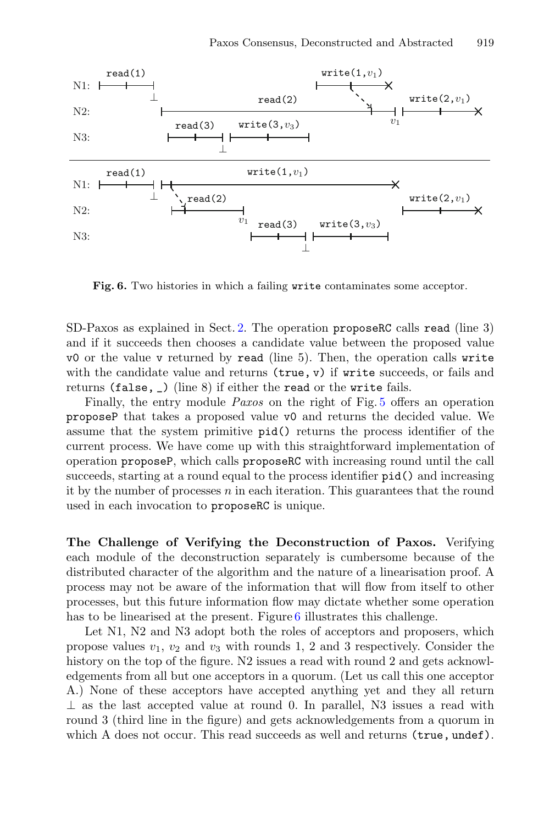

<span id="page-7-0"></span>Fig. 6. Two histories in which a failing write contaminates some acceptor.

SD-Paxos as explained in Sect. [2.](#page-2-2) The operation proposeRC calls read (line 3) and if it succeeds then chooses a candidate value between the proposed value v0 or the value v returned by read (line 5). Then, the operation calls write with the candidate value and returns  $(\text{true}, \text{v})$  if write succeeds, or fails and returns (false, \_) (line 8) if either the read or the write fails.

Finally, the entry module *Paxos* on the right of Fig. [5](#page-6-0) offers an operation proposeP that takes a proposed value v0 and returns the decided value. We assume that the system primitive pid() returns the process identifier of the current process. We have come up with this straightforward implementation of operation proposeP, which calls proposeRC with increasing round until the call succeeds, starting at a round equal to the process identifier pid() and increasing it by the number of processes  $n$  in each iteration. This guarantees that the round used in each invocation to proposeRC is unique.

**The Challenge of Verifying the Deconstruction of Paxos.** Verifying each module of the deconstruction separately is cumbersome because of the distributed character of the algorithm and the nature of a linearisation proof. A process may not be aware of the information that will flow from itself to other processes, but this future information flow may dictate whether some operation has to be linearised at the present. Figure [6](#page-7-0) illustrates this challenge.

Let N1, N2 and N3 adopt both the roles of acceptors and proposers, which propose values  $v_1, v_2$  and  $v_3$  with rounds 1, 2 and 3 respectively. Consider the history on the top of the figure. N2 issues a read with round 2 and gets acknowledgements from all but one acceptors in a quorum. (Let us call this one acceptor A.) None of these acceptors have accepted anything yet and they all return  $\perp$  as the last accepted value at round 0. In parallel, N3 issues a read with round 3 (third line in the figure) and gets acknowledgements from a quorum in which A does not occur. This read succeeds as well and returns (true, undef).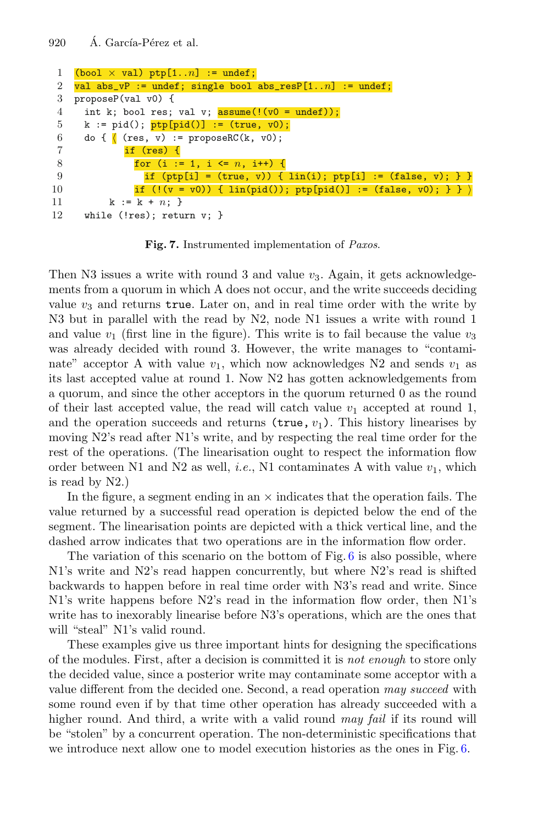```
1 (bool \times val) ptp[1..n] := undef;<br>2 val abs vP := undef: single bool
   val abs_vP := undef; single bool abs_resP[1..n] := undef;
3 proposeP(val v0) {
4 int k; bool res; val v; \frac{assume((v0 = under))}{...}5 k := pid(); ptp[pid()] := (true, v0);
 6 do { ( (res, v) := proposeRC(k, v0);
7 if (res) {
8 for (i := 1, i <= n, i++) {
9 if (ptp[i] = (true, v)) { lin(i); ptp[i] := (false, v); } }
10 if ('(v = v0)) {lin(pid()); ptp[pid()]: = (false, v0); }k := k + n;12 while (!res); return v; }
```
<span id="page-8-0"></span>**Fig. 7.** Instrumented implementation of *Paxos*.

Then N3 issues a write with round 3 and value  $v_3$ . Again, it gets acknowledgements from a quorum in which A does not occur, and the write succeeds deciding value  $v_3$  and returns true. Later on, and in real time order with the write by N3 but in parallel with the read by N2, node N1 issues a write with round 1 and value  $v_1$  (first line in the figure). This write is to fail because the value  $v_3$ was already decided with round 3. However, the write manages to "contaminate" acceptor A with value  $v_1$ , which now acknowledges N2 and sends  $v_1$  as its last accepted value at round 1. Now N2 has gotten acknowledgements from a quorum, and since the other acceptors in the quorum returned 0 as the round of their last accepted value, the read will catch value  $v_1$  accepted at round 1, and the operation succeeds and returns  $(\text{true}, v_1)$ . This history linearises by moving N2's read after N1's write, and by respecting the real time order for the rest of the operations. (The linearisation ought to respect the information flow order between N1 and N2 as well, *i.e.*, N1 contaminates A with value  $v_1$ , which is read by N2.)

In the figure, a segment ending in an  $\times$  indicates that the operation fails. The value returned by a successful read operation is depicted below the end of the segment. The linearisation points are depicted with a thick vertical line, and the dashed arrow indicates that two operations are in the information flow order.

The variation of this scenario on the bottom of Fig. [6](#page-7-0) is also possible, where N1's write and N2's read happen concurrently, but where N2's read is shifted backwards to happen before in real time order with N3's read and write. Since N1's write happens before N2's read in the information flow order, then N1's write has to inexorably linearise before N3's operations, which are the ones that will "steal" N1's valid round.

These examples give us three important hints for designing the specifications of the modules. First, after a decision is committed it is *not enough* to store only the decided value, since a posterior write may contaminate some acceptor with a value different from the decided one. Second, a read operation *may succeed* with some round even if by that time other operation has already succeeded with a higher round. And third, a write with a valid round *may fail* if its round will be "stolen" by a concurrent operation. The non-deterministic specifications that we introduce next allow one to model execution histories as the ones in Fig. [6.](#page-7-0)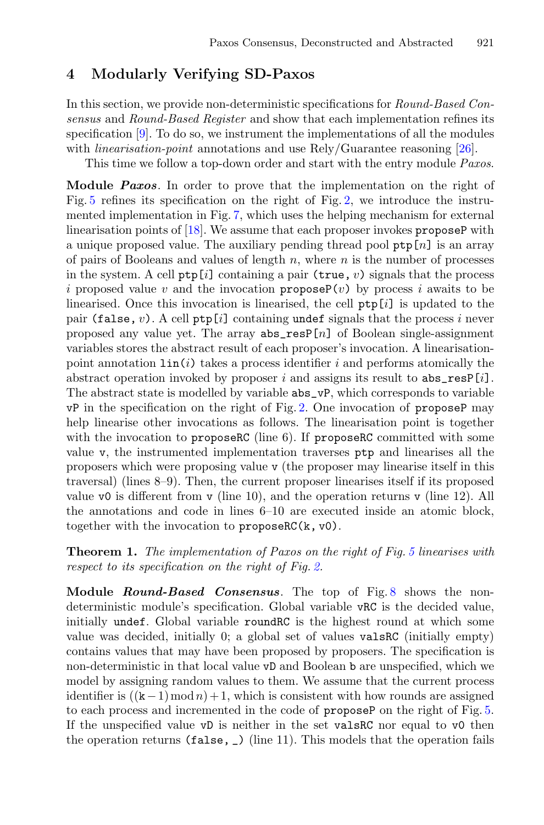## <span id="page-9-0"></span>**4 Modularly Verifying SD-Paxos**

In this section, we provide non-deterministic specifications for *Round-Based Consensus* and *Round-Based Register* and show that each implementation refines its specification [\[9\]](#page-26-3). To do so, we instrument the implementations of all the modules with *linearisation-point* annotations and use Rely/Guarantee reasoning [\[26\]](#page-27-1).

This time we follow a top-down order and start with the entry module *Paxos*.

**Module** *Paxos*. In order to prove that the implementation on the right of Fig. [5](#page-6-0) refines its specification on the right of Fig. [2,](#page-3-0) we introduce the instrumented implementation in Fig. [7,](#page-8-0) which uses the helping mechanism for external linearisation points of [\[18\]](#page-26-5). We assume that each proposer invokes proposeP with a unique proposed value. The auxiliary pending thread pool  $ptp[n]$  is an array of pairs of Booleans and values of length  $n$ , where  $n$  is the number of processes in the system. A cell  $ptp[i]$  containing a pair (true, v) signals that the process i proposed value v and the invocation **propose** $P(v)$  by process i awaits to be linearised. Once this invocation is linearised, the cell  $ptp[i]$  is updated to the pair (false,  $v$ ). A cell ptp[i] containing undef signals that the process i never proposed any value yet. The array  $abs\_resp[n]$  of Boolean single-assignment variables stores the abstract result of each proposer's invocation. A linearisationpoint annotation  $\text{lin}(i)$  takes a process identifier i and performs atomically the abstract operation invoked by proposer i and assigns its result to  $\texttt{abs\_resP}[i]$ . The abstract state is modelled by variable abs\_vP, which corresponds to variable vP in the specification on the right of Fig. [2.](#page-3-0) One invocation of proposeP may help linearise other invocations as follows. The linearisation point is together with the invocation to proposeRC (line 6). If proposeRC committed with some value v, the instrumented implementation traverses ptp and linearises all the proposers which were proposing value v (the proposer may linearise itself in this traversal) (lines 8–9). Then, the current proposer linearises itself if its proposed value v0 is different from v (line 10), and the operation returns v (line 12). All the annotations and code in lines 6–10 are executed inside an atomic block, together with the invocation to proposeRC(k, v0).

**Theorem 1.** *The implementation of Paxos on the right of Fig. [5](#page-6-0) linearises with respect to its specification on the right of Fig. [2.](#page-3-0)*

**Module** *Round-Based Consensus*. The top of Fig. [8](#page-10-0) shows the nondeterministic module's specification. Global variable vRC is the decided value, initially undef. Global variable roundRC is the highest round at which some value was decided, initially 0; a global set of values valsRC (initially empty) contains values that may have been proposed by proposers. The specification is non-deterministic in that local value vD and Boolean b are unspecified, which we model by assigning random values to them. We assume that the current process identifier is  $((k-1) \mod n) + 1$ , which is consistent with how rounds are assigned to each process and incremented in the code of proposeP on the right of Fig. [5.](#page-6-0) If the unspecified value vD is neither in the set valsRC nor equal to v0 then the operation returns (false, \_) (line 11). This models that the operation fails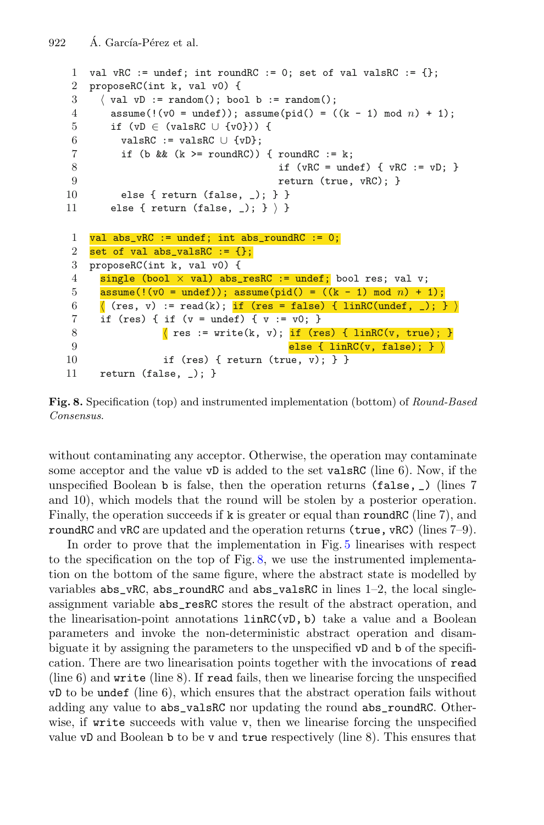```
1 val vRC := undef; int roundRC := 0; set of val valsRC := \{\};
2 proposeRC(int k, val v0) {
\frac{3}{4}\langle val vD := random(); bool b := random();
         assume(l(v0 = under)); assume(pid() = ((k - 1) mod n) + 1);5 if (vD \in (valsRC \cup \{v0\})) {<br>6 valsRC := valsRC \cup \{vD\};
6 valsRC := valsRC ∪ {vD};<br>7 if (b && (k >= roundRC))
           if (b && (k >= roundRC)) { roundRC := k;
8 if (vRC = under) \{ vRC := vD; \}9 return (true, vRC); }
10 else { return (false, _); } }
11 else { return (false, \Box); } \rangle }
 1 val abs_vRC := undef; int abs_roundRC := 0;
2 set of val abs_valsRC := \{\};
3 proposeRC(int k, val v0) {
4 single (bool \times val) abs_resRC := undef; bool res; val v;<br>5 assume(!(v0 = undef)); assume(pid() = ((k - 1) mod n) +
      assume(!(v0 =undef)); assume(pid() = ((k - 1) mod n) + 1);\left\{ \begin{array}{l} \text{(res, v)} \text{ := } \text{read(k)} \text{; } \text{ if } \text{ (res = false)} \text{ } \{ \text{ } \text{linkC}(\text{undef, } \text{ } \text{)}. \text{ } \} \end{array} \right\}7 if (res) { if (v = undef) { v := v0; }
 8 (
                   \langle res := write(k, v); if (res) { linRC(v, true); }
9 else { linRC(v, false); } }<br>10 if (res) { return (true, v); } }
                    if (res) { return (true, v); } }
11 return (false, _); }
```
<span id="page-10-0"></span>**Fig. 8.** Specification (top) and instrumented implementation (bottom) of *Round-Based Consensus*.

without contaminating any acceptor. Otherwise, the operation may contaminate some acceptor and the value vD is added to the set valsRC (line 6). Now, if the unspecified Boolean b is false, then the operation returns (false, \_) (lines 7 and 10), which models that the round will be stolen by a posterior operation. Finally, the operation succeeds if k is greater or equal than round RC (line 7), and roundRC and vRC are updated and the operation returns (true, vRC) (lines 7–9).

In order to prove that the implementation in Fig. [5](#page-6-0) linearises with respect to the specification on the top of Fig. [8,](#page-10-0) we use the instrumented implementation on the bottom of the same figure, where the abstract state is modelled by variables abs\_vRC, abs\_roundRC and abs\_valsRC in lines 1–2, the local singleassignment variable abs\_resRC stores the result of the abstract operation, and the linearisation-point annotations  $\text{linkC}(vD, b)$  take a value and a Boolean parameters and invoke the non-deterministic abstract operation and disambiguate it by assigning the parameters to the unspecified vD and b of the specification. There are two linearisation points together with the invocations of read (line 6) and write (line 8). If read fails, then we linearise forcing the unspecified vD to be undef (line 6), which ensures that the abstract operation fails without adding any value to abs\_valsRC nor updating the round abs\_roundRC. Otherwise, if write succeeds with value v, then we linearise forcing the unspecified value vD and Boolean b to be v and true respectively (line 8). This ensures that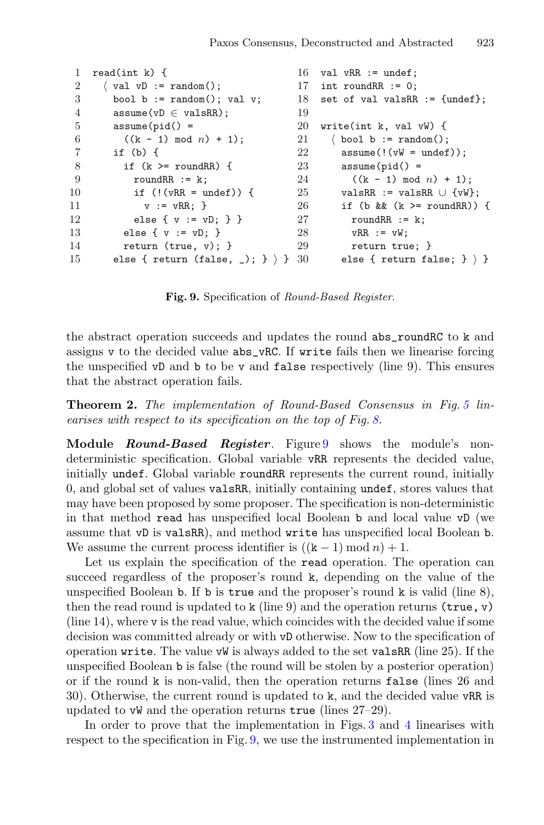```
1 read(int k) {
 \frac{2}{3}\langle val vD := random():
         bool b := \text{random}(); val v;
 4 assume(vD \in valsRR);<br>5 assume(pid() =
         assume(pid() =6 ((k - 1) \mod n) + 1);7 if (b) {
 8 if (k \ge r roundRR) {
9 roundRR := k;<br>10 if (! (vRR = u)if (!(\text{vRR} = \text{undef})) {
11 v := vRR; }
12 else { v := vD; } }<br>13 else { v := vD: }
           else { v := vD; }
14 return (true, v); }
15 else { return (false, \Box); \} \} 30
                                                 16 val vRR := undef;<br>17 int roundRR := 0:
                                                      int roundRR := 0:
                                                 18 set of val valsRR := \{undef};19
                                                 20 write(int k, val vW) {
                                                 \frac{21}{22}\langle bool b := random();
                                                          assume('(vW = undef));
                                                 23 assume(pid() =
                                                 24 ((k - 1) \mod n) + 1);<br>
25 valsRR := valsRR \cup {vW}
                                                 25 valsRR := valsRR \cup {vW};<br>26 if (b & k (k >= roundRR))
                                                          if (b &\& (k >= roundRR)) {
                                                 27 roundRR := k;<br>28 vRR := vW:
                                                            vRR := vW:
                                                 29 return true; }
                                                          else { return false; } } ) }
```
<span id="page-11-0"></span>**Fig. 9.** Specification of *Round-Based Register*.

the abstract operation succeeds and updates the round abs\_roundRC to k and assigns v to the decided value abs\_vRC. If write fails then we linearise forcing the unspecified  $\nabla$  and  $\bf{b}$  to be v and false respectively (line 9). This ensures that the abstract operation fails.

**Theorem 2.** *The implementation of Round-Based Consensus in Fig. [5](#page-6-0) linearises with respect to its specification on the top of Fig. [8.](#page-10-0)*

**Module** *Round-Based Register*. Figure [9](#page-11-0) shows the module's nondeterministic specification. Global variable vRR represents the decided value, initially undef. Global variable roundRR represents the current round, initially 0, and global set of values valsRR, initially containing undef, stores values that may have been proposed by some proposer. The specification is non-deterministic in that method read has unspecified local Boolean b and local value vD (we assume that vD is valsRR), and method write has unspecified local Boolean b. We assume the current process identifier is  $((k-1) \mod n) + 1$ .

Let us explain the specification of the read operation. The operation can succeed regardless of the proposer's round k, depending on the value of the unspecified Boolean **b**. If **b** is true and the proposer's round **k** is valid (line 8), then the read round is updated to  $k$  (line 9) and the operation returns (true, v) (line 14), where v is the read value, which coincides with the decided value if some decision was committed already or with vD otherwise. Now to the specification of operation write. The value vW is always added to the set valsRR (line 25). If the unspecified Boolean b is false (the round will be stolen by a posterior operation) or if the round k is non-valid, then the operation returns false (lines 26 and 30). Otherwise, the current round is updated to k, and the decided value vRR is updated to vW and the operation returns true (lines 27–29).

In order to prove that the implementation in Figs. [3](#page-4-0) and [4](#page-5-0) linearises with respect to the specification in Fig. [9,](#page-11-0) we use the instrumented implementation in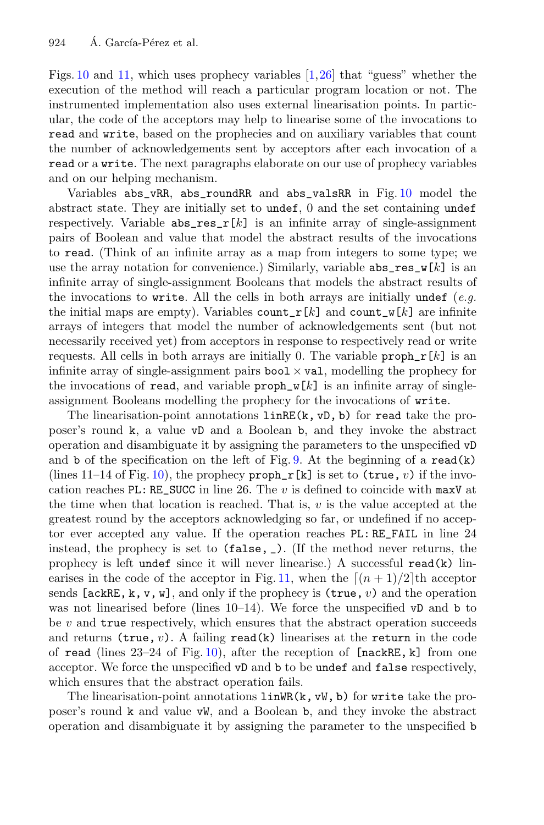Figs. [10](#page-13-0) and [11,](#page-14-0) which uses prophecy variables [\[1](#page-25-1)[,26](#page-27-1)] that "guess" whether the execution of the method will reach a particular program location or not. The instrumented implementation also uses external linearisation points. In particular, the code of the acceptors may help to linearise some of the invocations to read and write, based on the prophecies and on auxiliary variables that count the number of acknowledgements sent by acceptors after each invocation of a read or a write. The next paragraphs elaborate on our use of prophecy variables and on our helping mechanism.

Variables abs\_vRR, abs\_roundRR and abs\_valsRR in Fig. [10](#page-13-0) model the abstract state. They are initially set to undef, 0 and the set containing undef respectively. Variable  $\texttt{abs\_res\_r}[k]$  is an infinite array of single-assignment pairs of Boolean and value that model the abstract results of the invocations to read. (Think of an infinite array as a map from integers to some type; we use the array notation for convenience.) Similarly, variable  $\texttt{abs\_res\_w}[k]$  is an infinite array of single-assignment Booleans that models the abstract results of the invocations to write. All the cells in both arrays are initially undef (*e.g.* the initial maps are empty). Variables  $\text{count}_{r}[k]$  and  $\text{count}_{r}[k]$  are infinite arrays of integers that model the number of acknowledgements sent (but not necessarily received yet) from acceptors in response to respectively read or write requests. All cells in both arrays are initially 0. The variable proph  $\mathbf{r}[k]$  is an infinite array of single-assignment pairs  $\mathbf{bool} \times \mathbf{val}$ , modelling the prophecy for the invocations of read, and variable  $\text{proph}_{\mathbf{k}}[k]$  is an infinite array of singleassignment Booleans modelling the prophecy for the invocations of write.

The linearisation-point annotations  $\text{linkE}(k, vD, b)$  for read take the proposer's round k, a value vD and a Boolean b, and they invoke the abstract operation and disambiguate it by assigning the parameters to the unspecified vD and b of the specification on the left of Fig. [9.](#page-11-0) At the beginning of a read(k) (lines 11–14 of Fig. [10\)](#page-13-0), the prophecy  $\texttt{proph}_r[k]$  is set to (true, v) if the invocation reaches PL: RE\_SUCC in line 26. The v is defined to coincide with maxV at the time when that location is reached. That is,  $v$  is the value accepted at the greatest round by the acceptors acknowledging so far, or undefined if no acceptor ever accepted any value. If the operation reaches PL: RE\_FAIL in line 24 instead, the prophecy is set to (false, \_). (If the method never returns, the prophecy is left undef since it will never linearise.) A successful read(k) lin-earises in the code of the acceptor in Fig. [11,](#page-14-0) when the  $\lceil (n+1)/2 \rceil$ th acceptor sends [ackRE, k, v, w], and only if the prophecy is  $(\text{true}, v)$  and the operation was not linearised before (lines  $10-14$ ). We force the unspecified vD and b to be v and true respectively, which ensures that the abstract operation succeeds and returns (true,  $v$ ). A failing read(k) linearises at the return in the code of read (lines  $23-24$  of Fig. [10\)](#page-13-0), after the reception of  $[{\tt lackRE}, k]$  from one acceptor. We force the unspecified vD and b to be undef and false respectively, which ensures that the abstract operation fails.

The linearisation-point annotations  $\text{linkR}(k, vW, b)$  for write take the proposer's round k and value vW, and a Boolean b, and they invoke the abstract operation and disambiguate it by assigning the parameter to the unspecified b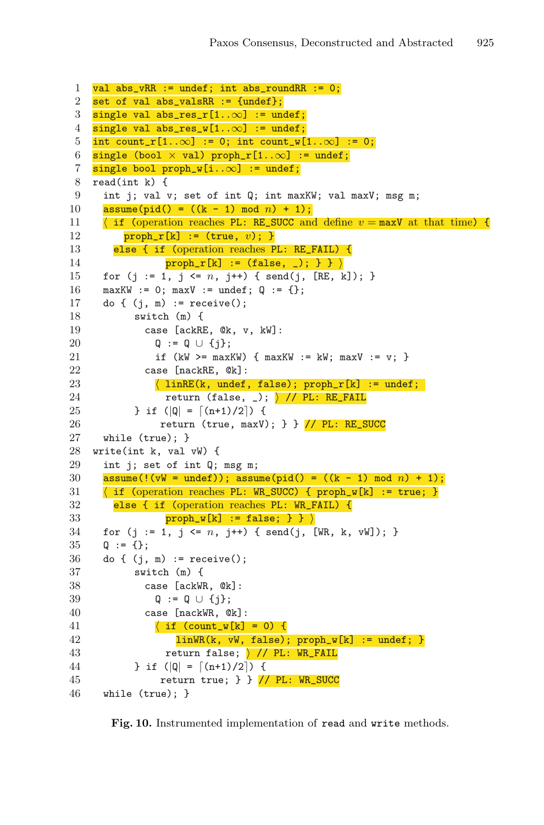```
1 val abs vRR := undef; int abs roundRR := 0;
 2 set of val abs_valsRR := \{undef\};3 single val abs res r[1..\infty] := undef:
 4 single val abs_res_w[1..\infty] := undef;
 5 int count_r[1..\infty] := 0; int count_w[1..\infty] := 0;<br>6 single (bool \times val) proph r[1..\infty] := undef:
 6 single (bool \times val) proph_r[1..\infty] := undef;<br>7 single bool proph_w[i..\infty] := undef:
 7 single bool proph_w[i..\infty] := undef;<br>8 read(int k) {
     read(int k) {
 9 int j; val v; set of int Q; int maxKW; val maxV; msg m;
10 \text{assume}(\text{pid}() = ((k - 1) \text{ mod } n) + 1);\begin{array}{c} 11 \\ 12 \end{array}if (operation reaches PL: RE SUCC and define v = \max V at that time) {
12 \frac{1}{\text{proph\_r[k]}} := (\text{true}, v);<br>13 \frac{1}{\text{else}} = \frac{1}{\text{time}} \cdot \frac{1}{\text{time}}else { if (operation reaches PL: RE_FAIL) {
14 proph_r[k] := (false, _); } } }<br>15 for (i := 1, i <= n, i++) { send(i, [RE, b
       for (j := 1, j <= n, j++) { send(j, [RE, k]); }
16 maxKW := 0; maxV := undef; Q := \{\};
17 do { (j, m) := receive();
18 switch (m) {
19 case [ackRE, @k, v, kW]:
20 Q := Q \cup \{j\};<br>21 if (kW >= max)
                   if (kW \geq maxKW) { maxKW := kW; maxV := v; }
22 case [nackRE, @k]:
23 \sqrt{ }\langle linRE(k, undef, false); proph_r[k] := undef;
24 return (false, _); \frac{\gamma}{\gamma} PL: RE_FAIL<br>25 } if (|0| = \lceil (n+1)/2 \rceil) {
25 } if (|\mathbb{Q}| = |(n+1)/2|) {<br>26 <br>return (true, maxV)
                    return (true, maxV); } } // PL: RE_SUCC
27 while (true); }
28 write(int k, val vW) {
29 int j; set of int Q; msg m;
30 assume(!(vW = undef)); assume(pid() = ((k - 1) \mod n) + 1);
\frac{31}{32}\langle if (operation reaches PL: WR_SUCC) { proph_w[k] := true; }
         else { if (operation reaches PL: WR_FAIL) {
33 proph_w[k] := false; }} } }<br>34 for (i := 1, i <= n, i++) { send(i,
       for (j := 1, j <= n, j++) { send(j, [WR, k, vW]); }
35 \qquad Q := \{\};
36 do { (j, m) := receive();
37 switch (m) {
38 case [ackWR, @k]:
39 Q := Q ∪ {j};<br>40 case [nackWR, 0
                case [nackWR, @k]:
41 \langle\langle if (count_w[k] = 0) {
42 linWR(k, vW, false); proph_w[k] := undef; }
43 return false; /// PL: WR_FAIL<br>44 \rightarrow if (|0| = \lceil (n+1)/2 \rceil) {
44 \} if (|\mathbb{Q}| = \lceil (\mathbb{n}+1)/2 \rceil) {<br>45 return true: } } /
                    return true; } } // PL: WR_SUCC
46 while (true); }
```
<span id="page-13-0"></span>**Fig. 10.** Instrumented implementation of read and write methods.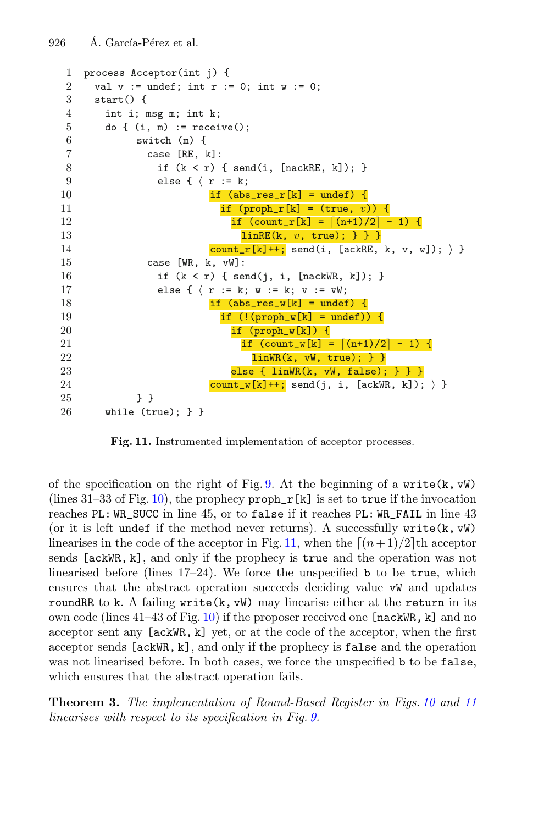```
1 process Acceptor(int j) {
2 val v := undef; int r := 0; int w := 0;
3 start() {
4 int i; msg m; int k;
5 do { (i, m) := receive();
6 switch (m) {<br>
7 case [RE, 1]case [RE, k]:
8 if (k < r) { send(i, [nackRE, k]); }
 9 else { \langle r := k;10 if (abs\_res_r[k] = under) {
11 if (prD_F[k] = (true, v)) {
12 if (count_r[k] = [(n+1)/2] - 1)<br>13 1in RE(k, v, true); } } }
                               linkE(k, v, true); } } }
14 case [WR, k, v\overline{w}]: [k]++; send(i, [ackRE, k, v, w]); \} }
               case [WR, k, vW]:
16 if (k < r) { send(j, i, [nackWR, k]); }
17 else { \langle r : = k; w : = k; v : = vW;18 if (abs\_res_w[k] = under) {
19 if ('|(proph_w[k] = undef))20 if (proph_w[k]) {
21 \frac{1}{2} \frac{1}{2} \frac{1}{2} \frac{1}{2} \frac{1}{2} \frac{1}{2} \frac{1}{2} \frac{1}{2} \frac{1}{2} \frac{1}{2} \frac{1}{2} \frac{1}{2} \frac{1}{2} \frac{1}{2} \frac{1}{2} \frac{1}{2} \frac{1}{2} \frac{1}{2} \frac{1}{2} \frac{1}{2} \frac{1}{2} \frac{1}{2}link(k, vW, true); } }
23 else { linWR(k, vW, false); } } }
24 count_w[k]++; send(j, i, [ackWR, k]); > 35 <br> } }
             25 } }
26 while (true); } }
```
<span id="page-14-0"></span>**Fig. 11.** Instrumented implementation of acceptor processes.

of the specification on the right of Fig. [9.](#page-11-0) At the beginning of a write  $(k, vW)$ (lines 31–33 of Fig. [10\)](#page-13-0), the prophecy  $\text{proph}_r[k]$  is set to true if the invocation reaches PL: WR\_SUCC in line 45, or to false if it reaches PL: WR\_FAIL in line 43 (or it is left undef if the method never returns). A successfully write $(k, vW)$ linearises in the code of the acceptor in Fig. [11,](#page-14-0) when the  $(n+1)/2$ <sup>th</sup> acceptor sends [ackWR, k], and only if the prophecy is true and the operation was not linearised before (lines  $17-24$ ). We force the unspecified b to be true, which ensures that the abstract operation succeeds deciding value vW and updates roundRR to k. A failing  $write(k, vW)$  may linearise either at the return in its own code (lines  $41-43$  of Fig. [10\)](#page-13-0) if the proposer received one [nackWR, k] and no acceptor sent any [ackWR, k] yet, or at the code of the acceptor, when the first acceptor sends [ackWR, k], and only if the prophecy is false and the operation was not linearised before. In both cases, we force the unspecified b to be false, which ensures that the abstract operation fails.

**Theorem 3.** *The implementation of Round-Based Register in Figs. [10](#page-13-0) and [11](#page-14-0) linearises with respect to its specification in Fig. [9.](#page-11-0)*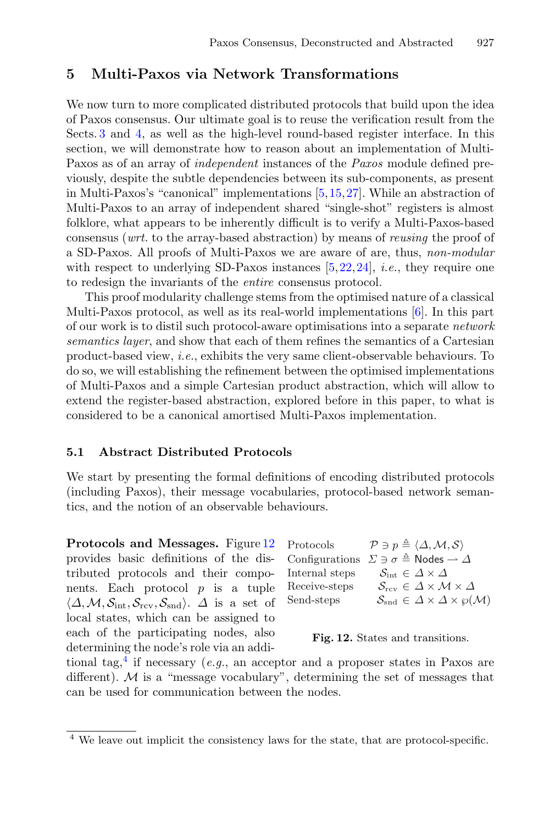### <span id="page-15-0"></span>**5 Multi-Paxos via Network Transformations**

We now turn to more complicated distributed protocols that build upon the idea of Paxos consensus. Our ultimate goal is to reuse the verification result from the Sects. [3](#page-3-1) and [4,](#page-9-0) as well as the high-level round-based register interface. In this section, we will demonstrate how to reason about an implementation of Multi-Paxos as of an array of *independent* instances of the *Paxos* module defined previously, despite the subtle dependencies between its sub-components, as present in Multi-Paxos's "canonical" implementations [\[5](#page-26-6)[,15](#page-26-1),[27\]](#page-27-0). While an abstraction of Multi-Paxos to an array of independent shared "single-shot" registers is almost folklore, what appears to be inherently difficult is to verify a Multi-Paxos-based consensus (*wrt.* to the array-based abstraction) by means of *reusing* the proof of a SD-Paxos. All proofs of Multi-Paxos we are aware of are, thus, *non-modular* with respect to underlying SD-Paxos instances  $[5,22,24]$  $[5,22,24]$  $[5,22,24]$  $[5,22,24]$ , *i.e.*, they require one to redesign the invariants of the *entire* consensus protocol.

This proof modularity challenge stems from the optimised nature of a classical Multi-Paxos protocol, as well as its real-world implementations [\[6](#page-26-9)]. In this part of our work is to distil such protocol-aware optimisations into a separate *network semantics layer*, and show that each of them refines the semantics of a Cartesian product-based view, *i.e.*, exhibits the very same client-observable behaviours. To do so, we will establishing the refinement between the optimised implementations of Multi-Paxos and a simple Cartesian product abstraction, which will allow to extend the register-based abstraction, explored before in this paper, to what is considered to be a canonical amortised Multi-Paxos implementation.

#### **5.1 Abstract Distributed Protocols**

We start by presenting the formal definitions of encoding distributed protocols (including Paxos), their message vocabularies, protocol-based network semantics, and the notion of an observable behaviours.

**Protocols and Messages.** Figure [12](#page-15-1) provides basic definitions of the distributed protocols and their components. Each protocol  $p$  is a tuple  $\langle \Delta, \mathcal{M}, \mathcal{S}_{\text{int}}, \mathcal{S}_{\text{rcv}}, \mathcal{S}_{\text{snd}} \rangle$ .  $\Delta$  is a set of local states, which can be assigned to each of the participating nodes, also determining the node's role via an addi-

| Protocols      | $\mathcal{P} \ni p \triangleq \langle \Delta, \mathcal{M}, \mathcal{S} \rangle$ |
|----------------|---------------------------------------------------------------------------------|
|                | Configurations $\Sigma \ni \sigma \triangleq \textsf{Nodes} \rightarrow \Delta$ |
| Internal steps | $\mathcal{S}_{\mathrm{int}} \in \Delta \times \Delta$                           |
| Receive-steps  | $\mathcal{S}_{\text{rcv}} \in \Delta \times \mathcal{M} \times \Delta$          |
| Send-steps     | $\mathcal{S}_{\text{snd}} \in \Delta \times \Delta \times \wp(\mathcal{M})$     |
|                |                                                                                 |

<span id="page-15-1"></span>**Fig. 12.** States and transitions.

tional tag,<sup>[4](#page-15-2)</sup> if necessary (*e.g.*, an acceptor and a proposer states in Paxos are different).  $M$  is a "message vocabulary", determining the set of messages that can be used for communication between the nodes.

<span id="page-15-2"></span> $^4$  We leave out implicit the consistency laws for the state, that are protocol-specific.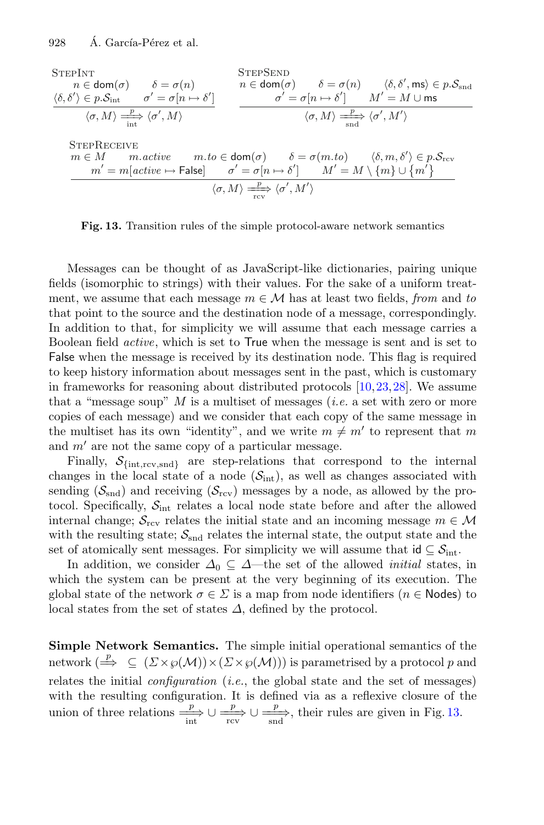

<span id="page-16-0"></span>**Fig. 13.** Transition rules of the simple protocol-aware network semantics

Messages can be thought of as JavaScript-like dictionaries, pairing unique fields (isomorphic to strings) with their values. For the sake of a uniform treatment, we assume that each message  $m \in \mathcal{M}$  has at least two fields, *from* and *to* that point to the source and the destination node of a message, correspondingly. In addition to that, for simplicity we will assume that each message carries a Boolean field *active*, which is set to True when the message is sent and is set to False when the message is received by its destination node. This flag is required to keep history information about messages sent in the past, which is customary in frameworks for reasoning about distributed protocols  $[10,23,28]$  $[10,23,28]$  $[10,23,28]$ . We assume that a "message soup" M is a multiset of messages (*i.e.* a set with zero or more copies of each message) and we consider that each copy of the same message in the multiset has its own "identity", and we write  $m \neq m'$  to represent that m and  $m'$  are not the same copy of a particular message.

Finally,  $S_{\text{int,rev,snd}}$  are step-relations that correspond to the internal changes in the local state of a node  $(\mathcal{S}_{int})$ , as well as changes associated with sending  $(\mathcal{S}_{\text{snd}})$  and receiving  $(\mathcal{S}_{\text{rcv}})$  messages by a node, as allowed by the protocol. Specifically,  $S_{\text{int}}$  relates a local node state before and after the allowed internal change;  $\mathcal{S}_{\text{rcv}}$  relates the initial state and an incoming message  $m \in \mathcal{M}$ with the resulting state;  $S_{\text{snd}}$  relates the internal state, the output state and the set of atomically sent messages. For simplicity we will assume that  $id \subseteq S_{int}$ .

In addition, we consider  $\Delta_0 \subseteq \Delta$ —the set of the allowed *initial* states, in which the system can be present at the very beginning of its execution. The global state of the network  $\sigma \in \Sigma$  is a map from node identifiers ( $n \in \mathsf{Nodes}$ ) to local states from the set of states  $\Delta$ , defined by the protocol.

**Simple Network Semantics.** The simple initial operational semantics of the network  $\left(\frac{p}{\Longrightarrow}\right) \subseteq (\Sigma\times \wp(\mathcal{M}))\times (\Sigma\times \wp(\mathcal{M}))$  is parametrised by a protocol p and relates the initial *configuration* (*i.e.*, the global state and the set of messages) with the resulting configuration. It is defined via as a reflexive closure of the union of three relations  $\frac{p}{p} \cup \frac{p}{p} \cup \frac{p}{q}$ , their rules are given in Fig. [13.](#page-16-0)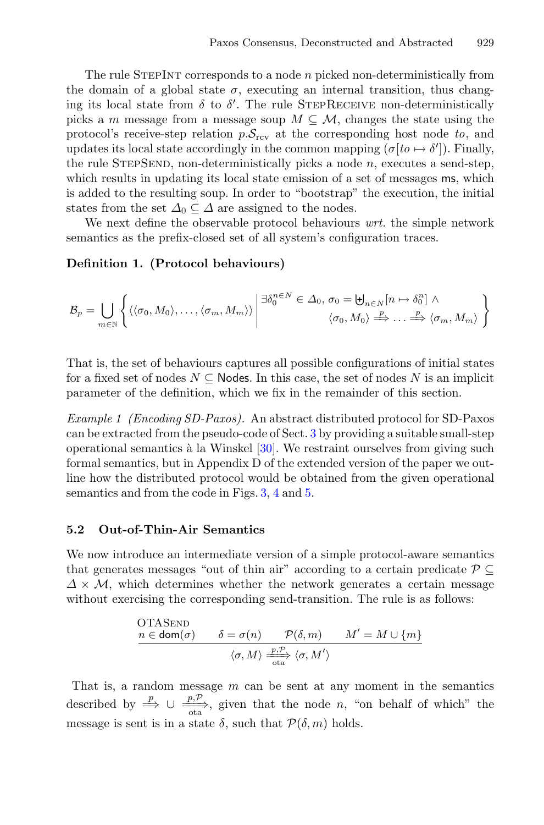The rule STEPINT corresponds to a node  $n$  picked non-deterministically from the domain of a global state  $\sigma$ , executing an internal transition, thus changing its local state from  $\delta$  to  $\delta'$ . The rule STEPRECEIVE non-deterministically picks a m message from a message soup  $M \subseteq \mathcal{M}$ , changes the state using the protocol's receive-step relation  $p.\mathcal{S}_{\text{rev}}$  at the corresponding host node *to*, and updates its local state accordingly in the common mapping  $(\sigma[to \mapsto \delta'])$ . Finally, the rule STEPSEND, non-deterministically picks a node  $n$ , executes a send-step, which results in updating its local state emission of a set of messages ms, which is added to the resulting soup. In order to "bootstrap" the execution, the initial states from the set  $\Delta_0 \subseteq \Delta$  are assigned to the nodes.

We next define the observable protocol behaviours *wrt.* the simple network semantics as the prefix-closed set of all system's configuration traces.

#### **Definition 1. (Protocol behaviours)**

$$
\mathcal{B}_p = \bigcup_{m \in \mathbb{N}} \left\{ \langle \langle \sigma_0, M_0 \rangle, \dots, \langle \sigma_m, M_m \rangle \rangle \middle| \ \begin{matrix} \exists \delta_0^{n \in N} \in \Delta_0, \ \sigma_0 = \biguplus_{n \in N} [n \mapsto \delta_0^n] \land \\ \langle \sigma_0, M_0 \rangle \xrightarrow{p} \dots \xrightarrow{p} \langle \sigma_m, M_m \rangle \end{matrix} \right\}
$$

That is, the set of behaviours captures all possible configurations of initial states for a fixed set of nodes  $N \subseteq$  Nodes. In this case, the set of nodes N is an implicit parameter of the definition, which we fix in the remainder of this section.

<span id="page-17-0"></span>*Example 1 (Encoding SD-Paxos).* An abstract distributed protocol for SD-Paxos can be extracted from the pseudo-code of Sect. [3](#page-3-1) by providing a suitable small-step operational semantics à la Winskel  $[30]$  $[30]$ . We restraint ourselves from giving such formal semantics, but in Appendix D of the extended version of the paper we outline how the distributed protocol would be obtained from the given operational semantics and from the code in Figs. [3,](#page-4-0) [4](#page-5-0) and [5.](#page-6-0)

#### **5.2 Out-of-Thin-Air Semantics**

We now introduce an intermediate version of a simple protocol-aware semantics that generates messages "out of thin air" according to a certain predicate  $\mathcal{P} \subseteq$  $\Delta \times M$ , which determines whether the network generates a certain message without exercising the corresponding send-transition. The rule is as follows:

OTASEND  
\n
$$
\frac{n \in \text{dom}(\sigma)}{\langle \sigma, M \rangle} \quad \frac{\mathcal{P}(\delta, m)}{\sigma \text{tan}^2} \langle \sigma, M' \rangle \quad M' = M \cup \{m\}
$$

<span id="page-17-1"></span>That is, a random message  $m$  can be sent at any moment in the semantics described by  $\Rightarrow^p \cup \frac{p,p}{\text{ota}}$ , given that the node *n*, "on behalf of which" the message is sent is in a state  $\delta$ , such that  $\mathcal{P}(\delta, m)$  holds.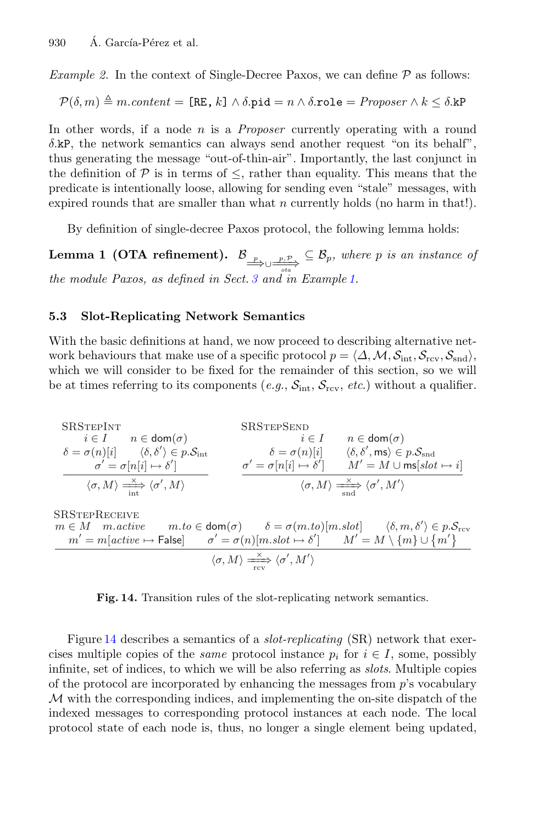*Example 2.* In the context of Single-Decree Paxos, we can define  $P$  as follows:

$$
\mathcal{P}(\delta, m) \triangleq m \cdot \text{content} = [\text{RE}, k] \land \delta \cdot \text{pid} = n \land \delta \cdot \text{role} = \text{Proposer} \land k \leq \delta \cdot \text{kP}
$$

In other words, if a node n is a *Proposer* currently operating with a round  $\delta$ .kP, the network semantics can always send another request "on its behalf". thus generating the message "out-of-thin-air". Importantly, the last conjunct in the definition of  $P$  is in terms of  $\leq$ , rather than equality. This means that the predicate is intentionally loose, allowing for sending even "stale" messages, with expired rounds that are smaller than what  $n$  currently holds (no harm in that!).

<span id="page-18-1"></span>By definition of single-decree Paxos protocol, the following lemma holds:

**Lemma 1 (OTA refinement).**  $B_{\text{max}} \subseteq B_p$ , where p is an instance of *the module Paxos, as defined in Sect. [3](#page-3-1) and in Example [1.](#page-17-0)*

#### **5.3 Slot-Replicating Network Semantics**

With the basic definitions at hand, we now proceed to describing alternative network behaviours that make use of a specific protocol  $p = \langle \Delta, \mathcal{M}, \mathcal{S}_{int}, \mathcal{S}_{rot}, \mathcal{S}_{snd} \rangle$ , which we will consider to be fixed for the remainder of this section, so we will be at times referring to its components (*e.g.*,  $S_{\text{int}}$ ,  $S_{\text{rcv}}$ , *etc.*) without a qualifier.

$$
\begin{array}{lll} \text{SRSTEPNIT} & \text{SRSTEPSEND} \\ i \in I & n \in \text{dom}(\sigma) \\ \delta = \sigma(n)[i] & \langle \delta, \delta' \rangle \in p . \mathcal{S}_{\text{int}} \\ \sigma' = \sigma[n[i] \mapsto \delta'] & \sigma' = \sigma[n[i] \mapsto \delta'] \\ \hline \\ \langle \sigma, M \rangle \xrightarrow[\text{int}]{\times} \langle \sigma', M \rangle & \sigma' = \sigma[n[i] \mapsto \delta'] & \langle \sigma, M \rangle \xrightarrow[\text{end}]{\times} & \sigma' = \sigma[n[i] \mapsto \delta'] & \langle \sigma, M \rangle \xrightarrow[\text{end}]{\times} & \begin{array}{l} \text{SRSTEPSEND} \\ \delta = \sigma(n)[i] & \langle \delta, \delta', \text{ms} \rangle \in p . \mathcal{S}_{\text{snd}} \\ \hline \\ \langle \sigma, M \rangle \xrightarrow[\text{end}]{\times} & \sigma', M' \rangle & \langle \sigma, M \rangle \xrightarrow[\text{end}]{} \end{array}
$$

**SRSTEPRECEIVE**  $m \in M$  m.active  $m.to \in \text{dom}(\sigma)$   $\delta = \sigma(m.to)[m_slot]$  $\langle \delta, m, \delta' \rangle \in p.\mathcal{S}_{\text{rcv}}$  $m' = m[\textit{active} \mapsto \mathsf{False}] \qquad \sigma'$  $M' = \sigma(n)[m_slot \mapsto \delta'] \qquad M' = M \setminus \{m\} \cup \{m'\}$  $\langle \sigma, M \rangle \xrightarrow[\text{rcv}]{\times} \langle \sigma', M' \rangle$ 

<span id="page-18-0"></span>**Fig. 14.** Transition rules of the slot-replicating network semantics.

Figure [14](#page-18-0) describes a semantics of a *slot-replicating* (SR) network that exercises multiple copies of the *same* protocol instance  $p_i$  for  $i \in I$ , some, possibly infinite, set of indices, to which we will be also referring as *slots*. Multiple copies of the protocol are incorporated by enhancing the messages from  $p$ 's vocabulary  $M$  with the corresponding indices, and implementing the on-site dispatch of the indexed messages to corresponding protocol instances at each node. The local protocol state of each node is, thus, no longer a single element being updated,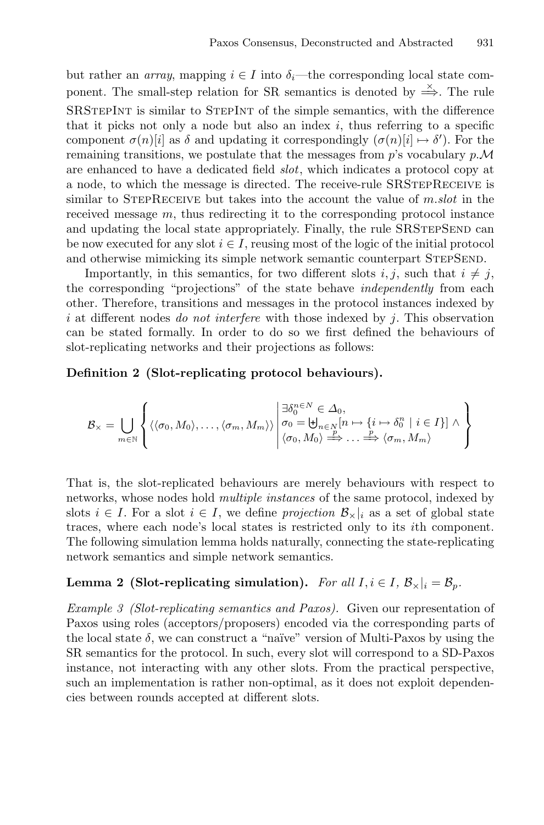but rather an *array*, mapping  $i \in I$  into  $\delta_i$ —the corresponding local state component. The small-step relation for SR semantics is denoted by  $\Rightarrow$ . The rule SRStepInt is similar to StepInt of the simple semantics, with the difference that it picks not only a node but also an index  $i$ , thus referring to a specific component  $\sigma(n)[i]$  as  $\delta$  and updating it correspondingly  $(\sigma(n)[i] \mapsto \delta')$ . For the remaining transitions, we postulate that the messages from  $p$ 's vocabulary  $p.\mathcal{M}$ are enhanced to have a dedicated field *slot*, which indicates a protocol copy at a node, to which the message is directed. The receive-rule SRStepReceive is similar to StepReceive but takes into the account the value of m.*slot* in the received message  $m$ , thus redirecting it to the corresponding protocol instance and updating the local state appropriately. Finally, the rule SRSTEPSEND can be now executed for any slot  $i \in I$ , reusing most of the logic of the initial protocol and otherwise mimicking its simple network semantic counterpart STEPSEND.

Importantly, in this semantics, for two different slots i, j, such that  $i \neq j$ , the corresponding "projections" of the state behave *independently* from each other. Therefore, transitions and messages in the protocol instances indexed by i at different nodes *do not interfere* with those indexed by j. This observation can be stated formally. In order to do so we first defined the behaviours of slot-replicating networks and their projections as follows:

<span id="page-19-0"></span>**Definition 2 (Slot-replicating protocol behaviours).**

$$
\mathcal{B}_{\times} = \bigcup_{m \in \mathbb{N}} \left\{ \langle \langle \sigma_0, M_0 \rangle, \ldots, \langle \sigma_m, M_m \rangle \rangle \middle| \begin{aligned} &\exists \delta_0^{n \in \mathbb{N}} \in \Delta_0, \\ &\sigma_0 = \biguplus_{n \in \mathbb{N}} [n \mapsto \{i \mapsto \delta_0^n \mid i \in I\}] \wedge \\ &\langle \sigma_0, M_0 \rangle \xrightarrow{\mathcal{B}} \ldots \xrightarrow{\mathcal{B}} \langle \sigma_m, M_m \rangle \end{aligned} \right\}
$$

That is, the slot-replicated behaviours are merely behaviours with respect to networks, whose nodes hold *multiple instances* of the same protocol, indexed by slots  $i \in I$ . For a slot  $i \in I$ , we define *projection*  $\mathcal{B}_{\times}|_i$  as a set of global state traces, where each node's local states is restricted only to its ith component. The following simulation lemma holds naturally, connecting the state-replicating network semantics and simple network semantics.

### **Lemma 2 (Slot-replicating simulation).** *For all*  $I, i \in I, \mathcal{B}_{\times}|_i = \mathcal{B}_p$ *.*

*Example 3 (Slot-replicating semantics and Paxos).* Given our representation of Paxos using roles (acceptors/proposers) encoded via the corresponding parts of the local state  $\delta$ , we can construct a "naïve" version of Multi-Paxos by using the SR semantics for the protocol. In such, every slot will correspond to a SD-Paxos instance, not interacting with any other slots. From the practical perspective, such an implementation is rather non-optimal, as it does not exploit dependencies between rounds accepted at different slots.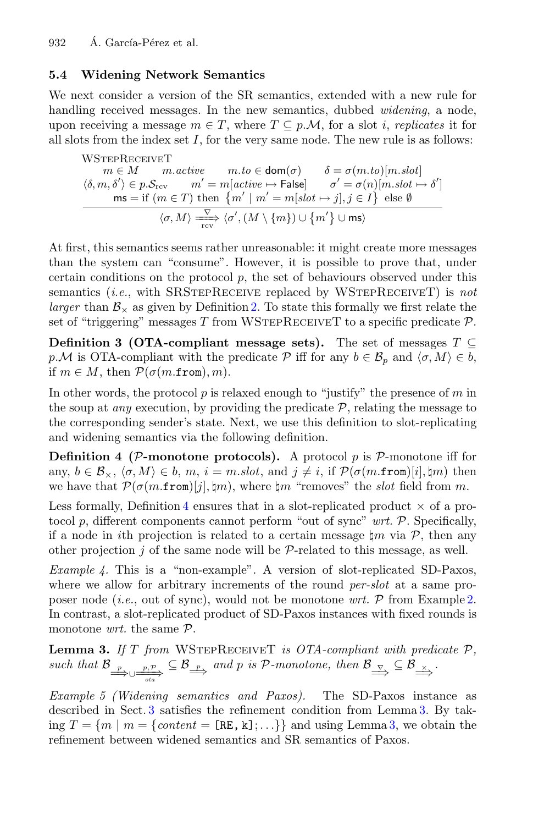## **5.4 Widening Network Semantics**

We next consider a version of the SR semantics, extended with a new rule for handling received messages. In the new semantics, dubbed *widening*, a node, upon receiving a message  $m \in T$ , where  $T \subseteq p.\mathcal{M}$ , for a slot *i*, *replicates* it for all slots from the index set  $I$ , for the very same node. The new rule is as follows:

$$
\begin{array}{ll} \text{WSTepRecerver} & m \in M & m. \textit{active} & m. \textit{to} \in \text{dom}(\sigma) & \delta = \sigma(m.\textit{to})[m.\textit{slot}] \\ \langle \delta, m, \delta' \rangle \in p. \mathcal{S}_{\text{rev}} & m' = m[\textit{active} \mapsto \textsf{False}] & \sigma' = \sigma(n)[m.\textit{slot} \mapsto \delta'] \\ & \text{ms} = \text{if } (m \in T) \text{ then } \{m' \mid m' = m[\textit{slot} \mapsto j], j \in I\} \text{ else } \emptyset \\ & \langle \sigma, M \rangle \xrightarrow[\text{rev}]{\nabla} \langle \sigma', (M \setminus \{m\}) \cup \{m'\} \cup \text{ms} \rangle \end{array}
$$

At first, this semantics seems rather unreasonable: it might create more messages than the system can "consume". However, it is possible to prove that, under certain conditions on the protocol  $p$ , the set of behaviours observed under this semantics (*i.e.*, with SRStepReceive replaced by WStepReceiveT) is *not larger* than  $B_{\times}$  as given by Definition [2.](#page-19-0) To state this formally we first relate the set of "triggering" messages  $T$  from WSTEPRECEIVET to a specific predicate  $\mathcal{P}$ .

**Definition 3 (OTA-compliant message sets).** The set of messages  $T \subseteq$ p.M is OTA-compliant with the predicate P iff for any  $b \in \mathcal{B}_p$  and  $\langle \sigma, M \rangle \in b$ , if  $m \in M$ , then  $\mathcal{P}(\sigma(m.\texttt{from}), m)$ .

In other words, the protocol  $p$  is relaxed enough to "justify" the presence of  $m$  in the soup at *any* execution, by providing the predicate  $P$ , relating the message to the corresponding sender's state. Next, we use this definition to slot-replicating and widening semantics via the following definition.

<span id="page-20-0"></span>**Definition 4 (** $P$ **-monotone protocols).** A protocol  $p$  is  $P$ -monotone iff for any,  $b \in \mathcal{B}_{\times}$ ,  $\langle \sigma, M \rangle \in b$ ,  $m, i = m$ *slot*, and  $j \neq i$ , if  $\mathcal{P}(\sigma(m \text{. from } [i], \text{ } m)$  then we have that  $\mathcal{P}(\sigma(m.\texttt{from})[j], \texttt{m})$ , where  $\texttt{m}$  "removes" the *slot* field from m.

Less formally, Definition [4](#page-20-0) ensures that in a slot-replicated product  $\times$  of a protocol p, different components cannot perform "out of sync" *wrt.* P. Specifically, if a node in ith projection is related to a certain message  $\sharp m$  via  $P$ , then any other projection j of the same node will be  $P$ -related to this message, as well.

*Example 4.* This is a "non-example". A version of slot-replicated SD-Paxos, where we allow for arbitrary increments of the round *per-slot* at a same proposer node (*i.e.*, out of sync), would not be monotone *wrt.* P from Example [2.](#page-17-1) In contrast, a slot-replicated product of SD-Paxos instances with fixed rounds is monotone *wrt.* the same P.

<span id="page-20-1"></span>**Lemma 3.** *If* <sup>T</sup> *from* WStepReceiveT *is OTA-compliant with predicate* <sup>P</sup>*,*  $\text{such that } \mathcal{B}_{\frac{p}{\sum_{i\neq j}}\cup\frac{p,p}{\text{det}}}\subseteq \mathcal{B}_{\frac{p}{\sum_{i\neq j}}}\text{ and }p\text{ is }p\text{-monotone, then }\mathcal{B}_{\frac{\nabla}{\sum_{j\neq j}}}\subseteq \mathcal{B}_{\frac{\nu}{\sum_{j\neq j}}}.$ 

<span id="page-20-2"></span>*Example 5 (Widening semantics and Paxos).* The SD-Paxos instance as described in Sect. [3](#page-3-1) satisfies the refinement condition from Lemma [3.](#page-20-1) By taking  $T = \{m \mid m = \{content = [RE, k]; ...\}$  and using Lemma [3,](#page-20-1) we obtain the refinement between widened semantics and SR semantics of Paxos.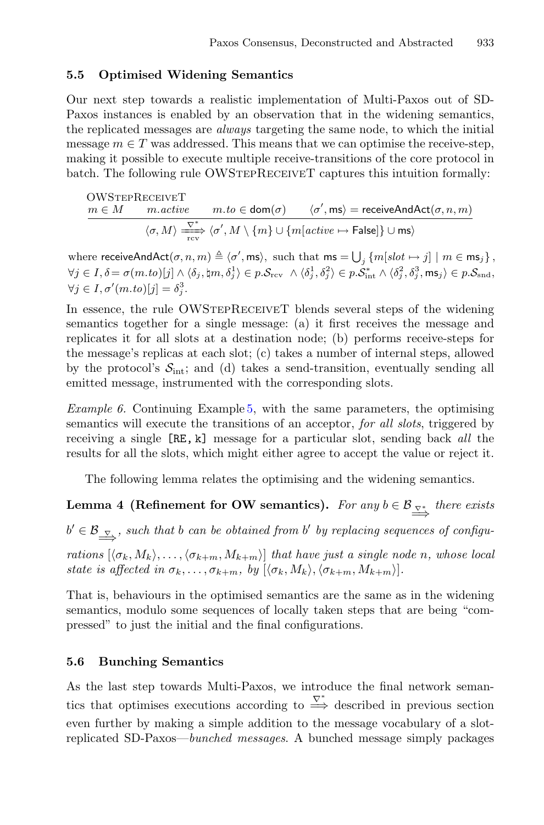#### <span id="page-21-0"></span>**5.5 Optimised Widening Semantics**

Our next step towards a realistic implementation of Multi-Paxos out of SD-Paxos instances is enabled by an observation that in the widening semantics, the replicated messages are *always* targeting the same node, to which the initial message  $m \in T$  was addressed. This means that we can optimise the receive-step. making it possible to execute multiple receive-transitions of the core protocol in batch. The following rule OWStepReceiveT captures this intuition formally:

OWStepReceiveT  $m \in M$  m.*active*  $m.to \in \text{dom}(\sigma)$   $\langle \sigma', \text{ms} \rangle = \text{receiveAndAct}(\sigma, n, m)$  $\langle \sigma, M \rangle \xrightarrow[\text{rev}]{\nabla^*} \langle \sigma', M \setminus \{m\} \cup \{m[active \mapsto \mathsf{False}]\} \cup \mathsf{ms} \rangle$ 

where  $\mathsf{receiveAndAct}(\sigma,n,m) \triangleq \langle \sigma',\mathsf{ms} \rangle$ , such that  $\mathsf{ms} = \bigcup_j \{m[slot \mapsto j] \mid m \in \mathsf{ms}_j\}$ ,  $\forall j \in I, \delta = \sigma(m.to)[j] \wedge \langle \delta_j, \natural m, \delta_j^1 \rangle \in p.\mathcal{S}_{\text{rcv}} \ \wedge \langle \delta_j^1, \delta_j^2 \rangle \in p.\mathcal{S}_{\text{int}} \wedge \langle \delta_j^2, \delta_j^3, \textsf{ms}_j \rangle \in p.\mathcal{S}_{\text{snd}},$  $\forall j \in I, \sigma'(m.to)[j] = \delta_j^3.$ 

In essence, the rule OWStepReceiveT blends several steps of the widening semantics together for a single message: (a) it first receives the message and replicates it for all slots at a destination node; (b) performs receive-steps for the message's replicas at each slot; (c) takes a number of internal steps, allowed by the protocol's  $S_{\text{int}}$ ; and (d) takes a send-transition, eventually sending all emitted message, instrumented with the corresponding slots.

*Example 6.* Continuing Example [5,](#page-20-2) with the same parameters, the optimising semantics will execute the transitions of an acceptor, *for all slots*, triggered by receiving a single [RE, k] message for a particular slot, sending back *all* the results for all the slots, which might either agree to accept the value or reject it.

The following lemma relates the optimising and the widening semantics.

# **Lemma 4 (Refinement for OW semantics).** *For any*  $b \in \mathcal{B}_{\frac{\nabla^*}{\nabla^*}}$  *there exists*

 $b' \in \mathcal{B}_{\xrightarrow{\nabla}}$ , such that *b* can be obtained from *b'* by replacing sequences of configu*rations*  $[\langle \sigma_k, M_k \rangle, \ldots, \langle \sigma_{k+m}, M_{k+m} \rangle]$  *that have just a single node n, whose local state is affected in*  $\sigma_k, \ldots, \sigma_{k+m}$ , *by*  $[\langle \sigma_k, M_k \rangle, \langle \sigma_{k+m}, M_{k+m} \rangle]$ .

That is, behaviours in the optimised semantics are the same as in the widening semantics, modulo some sequences of locally taken steps that are being "compressed" to just the initial and the final configurations.

#### <span id="page-21-1"></span>**5.6 Bunching Semantics**

As the last step towards Multi-Paxos, we introduce the final network semantics that optimises executions according to  $\stackrel{\nabla^*}{\Longrightarrow}$  described in previous section even further by making a simple addition to the message vocabulary of a slotreplicated SD-Paxos—*bunched messages*. A bunched message simply packages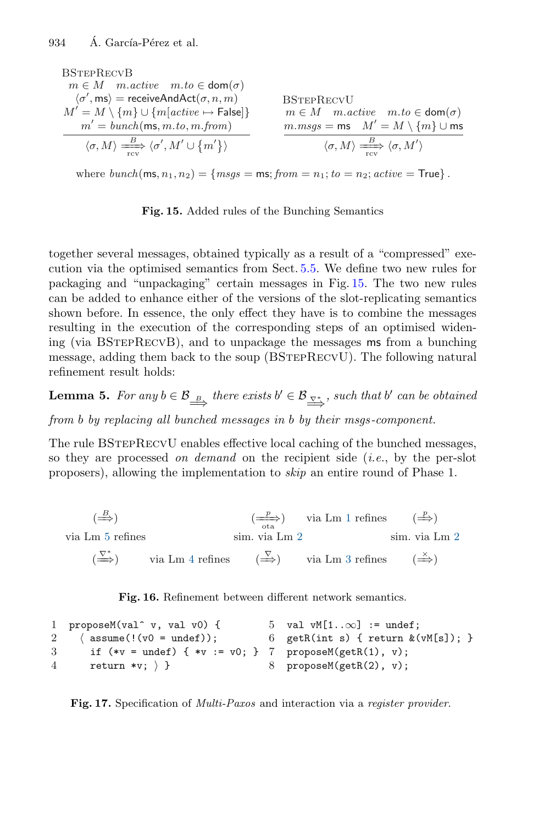| <b>BSTEPRECVB</b>                                                                              |                                                                                    |  |
|------------------------------------------------------------------------------------------------|------------------------------------------------------------------------------------|--|
| $m \in M$ m.active $m.to \in \text{dom}(\sigma)$                                               |                                                                                    |  |
| $\langle \sigma', \text{ms} \rangle$ = receiveAndAct $(\sigma, n, m)$                          | <b>BSTEPRECVU</b>                                                                  |  |
| $M' = M \setminus \{m\} \cup \{m[active \mapsto \mathsf{False}]\}$                             | $m \in M$ m.active $m \cdot to \in \text{dom}(\sigma)$                             |  |
| $m' = bunch(m, m. to, m. from)$                                                                | $m.msgs = ms$ $M' = M \setminus \{m\} \cup ms$                                     |  |
| $\langle \sigma, M \rangle \xrightarrow[\text{rcv}]{B} \langle \sigma', M' \cup \{m'\}\rangle$ | $\langle \sigma, M \rangle \xrightarrow[\text{rev}]{B} \langle \sigma, M' \rangle$ |  |

where  $bunch(ms, n_1, n_2) = \{msgs = ms; from = n_1; to = n_2; active = True\}$ .

#### <span id="page-22-0"></span>**Fig. 15.** Added rules of the Bunching Semantics

together several messages, obtained typically as a result of a "compressed" execution via the optimised semantics from Sect. [5.5.](#page-21-0) We define two new rules for packaging and "unpackaging" certain messages in Fig. [15.](#page-22-0) The two new rules can be added to enhance either of the versions of the slot-replicating semantics shown before. In essence, the only effect they have is to combine the messages resulting in the execution of the corresponding steps of an optimised widening (via BStepRecvB), and to unpackage the messages ms from a bunching message, adding them back to the soup (BSTEPRECVU). The following natural refinement result holds:

<span id="page-22-2"></span>**Lemma 5.** *For any*  $b \in \mathcal{B}_{\Longrightarrow}$  *there exists*  $b' \in \mathcal{B}_{\Longrightarrow}$ *, such that*  $b'$  *can be obtained from* b *by replacing all bunched messages in* b *by their msgs-component.*

The rule BStepRecvU enables effective local caching of the bunched messages, so they are processed *on demand* on the recipient side (*i.e.*, by the per-slot proposers), allowing the implementation to *skip* an entire round of Phase 1.

$$
\begin{array}{ccc}\n\left(\frac{B}{\Longrightarrow}\right) & \text{via Lm 1 refines} & \left(\frac{P}{\Longrightarrow}\right) \\
\text{via Lm 5 refines} & \text{sim. via Lm 2} & \text{sim. via Lm 2} \\
\left(\frac{\nabla^*}{\Longrightarrow}\right) & \text{via Lm 4 refines} & \left(\frac{\nabla}{\Longrightarrow}\right) & \text{via Lm 3 refines} & \left(\frac{\times}{\Longrightarrow}\right)\n\end{array}
$$

<span id="page-22-1"></span>**Fig. 16.** Refinement between different network semantics.

```
1 proposeM(val<sup>^</sup> v, val v0) {
\frac{2}{3}\langle assume(!(v0 = undef));
3 if (*v = undef) { *v := v0; } 7 proposeM(getR(1), v);
4 return *v; \rangle }
                                         5 val vM[1..\infty] := undef;
                                         6 getR(int s) { return \&(vM[s]); }
                                         8 proposeM(getR(2), v);
```
<span id="page-22-3"></span>**Fig. 17.** Specification of *Multi-Paxos* and interaction via a *register provider*.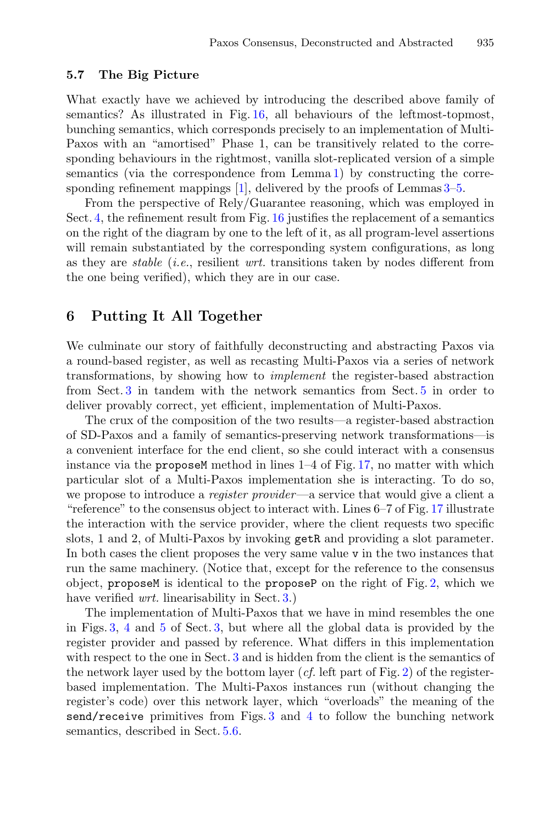#### **5.7 The Big Picture**

What exactly have we achieved by introducing the described above family of semantics? As illustrated in Fig. [16,](#page-22-1) all behaviours of the leftmost-topmost, bunching semantics, which corresponds precisely to an implementation of Multi-Paxos with an "amortised" Phase 1, can be transitively related to the corresponding behaviours in the rightmost, vanilla slot-replicated version of a simple semantics (via the correspondence from Lemma [1\)](#page-18-1) by constructing the corresponding refinement mappings [\[1\]](#page-25-1), delivered by the proofs of Lemmas [3–](#page-20-1)[5.](#page-22-2)

From the perspective of Rely/Guarantee reasoning, which was employed in Sect. [4,](#page-9-0) the refinement result from Fig. [16](#page-22-1) justifies the replacement of a semantics on the right of the diagram by one to the left of it, as all program-level assertions will remain substantiated by the corresponding system configurations, as long as they are *stable* (*i.e.*, resilient *wrt.* transitions taken by nodes different from the one being verified), which they are in our case.

#### **6 Putting It All Together**

We culminate our story of faithfully deconstructing and abstracting Paxos via a round-based register, as well as recasting Multi-Paxos via a series of network transformations, by showing how to *implement* the register-based abstraction from Sect. [3](#page-3-1) in tandem with the network semantics from Sect. [5](#page-15-0) in order to deliver provably correct, yet efficient, implementation of Multi-Paxos.

The crux of the composition of the two results—a register-based abstraction of SD-Paxos and a family of semantics-preserving network transformations—is a convenient interface for the end client, so she could interact with a consensus instance via the propose M method in lines  $1-4$  of Fig. [17,](#page-22-3) no matter with which particular slot of a Multi-Paxos implementation she is interacting. To do so, we propose to introduce a *register provider*—a service that would give a client a "reference" to the consensus object to interact with. Lines 6–7 of Fig. [17](#page-22-3) illustrate the interaction with the service provider, where the client requests two specific slots, 1 and 2, of Multi-Paxos by invoking getR and providing a slot parameter. In both cases the client proposes the very same value v in the two instances that run the same machinery. (Notice that, except for the reference to the consensus object, proposeM is identical to the proposeP on the right of Fig. [2,](#page-3-0) which we have verified *wrt*. linearisability in Sect. [3.](#page-3-1))

The implementation of Multi-Paxos that we have in mind resembles the one in Figs. [3,](#page-4-0) [4](#page-5-0) and [5](#page-6-0) of Sect. [3,](#page-3-1) but where all the global data is provided by the register provider and passed by reference. What differs in this implementation with respect to the one in Sect. [3](#page-3-1) and is hidden from the client is the semantics of the network layer used by the bottom layer (*cf.* left part of Fig. [2\)](#page-3-0) of the registerbased implementation. The Multi-Paxos instances run (without changing the register's code) over this network layer, which "overloads" the meaning of the send/receive primitives from Figs. [3](#page-4-0) and [4](#page-5-0) to follow the bunching network semantics, described in Sect. [5.6.](#page-21-1)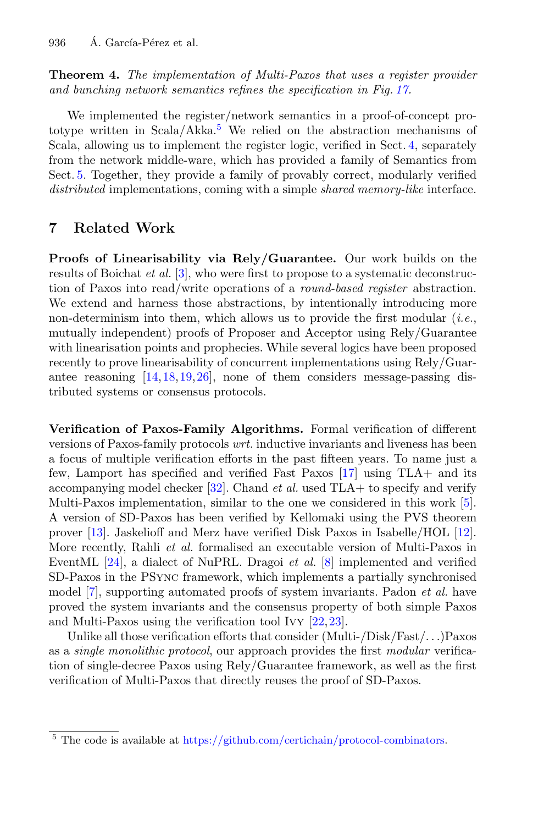**Theorem 4.** *The implementation of Multi-Paxos that uses a register provider and bunching network semantics refines the specification in Fig. [17.](#page-22-3)*

We implemented the register/network semantics in a proof-of-concept prototype written in Scala/Akka.[5](#page-24-0) We relied on the abstraction mechanisms of Scala, allowing us to implement the register logic, verified in Sect. [4,](#page-9-0) separately from the network middle-ware, which has provided a family of Semantics from Sect. [5.](#page-15-0) Together, they provide a family of provably correct, modularly verified *distributed* implementations, coming with a simple *shared memory-like* interface.

## **7 Related Work**

**Proofs of Linearisability via Rely/Guarantee.** Our work builds on the results of Boichat *et al.* [\[3](#page-26-2)], who were first to propose to a systematic deconstruction of Paxos into read/write operations of a *round-based register* abstraction. We extend and harness those abstractions, by intentionally introducing more non-determinism into them, which allows us to provide the first modular (*i.e.*, mutually independent) proofs of Proposer and Acceptor using Rely/Guarantee with linearisation points and prophecies. While several logics have been proposed recently to prove linearisability of concurrent implementations using Rely/Guarantee reasoning [\[14,](#page-26-12)[18,](#page-26-5)[19](#page-26-13)[,26](#page-27-1)], none of them considers message-passing distributed systems or consensus protocols.

**Verification of Paxos-Family Algorithms.** Formal verification of different versions of Paxos-family protocols *wrt.* inductive invariants and liveness has been a focus of multiple verification efforts in the past fifteen years. To name just a few, Lamport has specified and verified Fast Paxos [\[17\]](#page-26-14) using TLA+ and its accompanying model checker [\[32\]](#page-27-4). Chand *et al.* used TLA+ to specify and verify Multi-Paxos implementation, similar to the one we considered in this work [\[5\]](#page-26-6). A version of SD-Paxos has been verified by Kellomaki using the PVS theorem prover [\[13](#page-26-15)]. Jaskelioff and Merz have verified Disk Paxos in Isabelle/HOL [\[12\]](#page-26-16). More recently, Rahli *et al.* formalised an executable version of Multi-Paxos in EventML [\[24\]](#page-26-8), a dialect of NuPRL. Dragoi *et al.* [\[8](#page-26-17)] implemented and verified SD-Paxos in the PSync framework, which implements a partially synchronised model [\[7\]](#page-26-18), supporting automated proofs of system invariants. Padon *et al.* have proved the system invariants and the consensus property of both simple Paxos and Multi-Paxos using the verification tool Ivy [\[22](#page-26-7),[23\]](#page-26-11).

Unlike all those verification efforts that consider (Multi-/Disk/Fast/...)Paxos as a *single monolithic protocol*, our approach provides the first *modular* verification of single-decree Paxos using Rely/Guarantee framework, as well as the first verification of Multi-Paxos that directly reuses the proof of SD-Paxos.

<span id="page-24-0"></span> $5$  The code is available at [https://github.com/certichain/protocol-combinators.](https://github.com/certichain/protocol-combinators)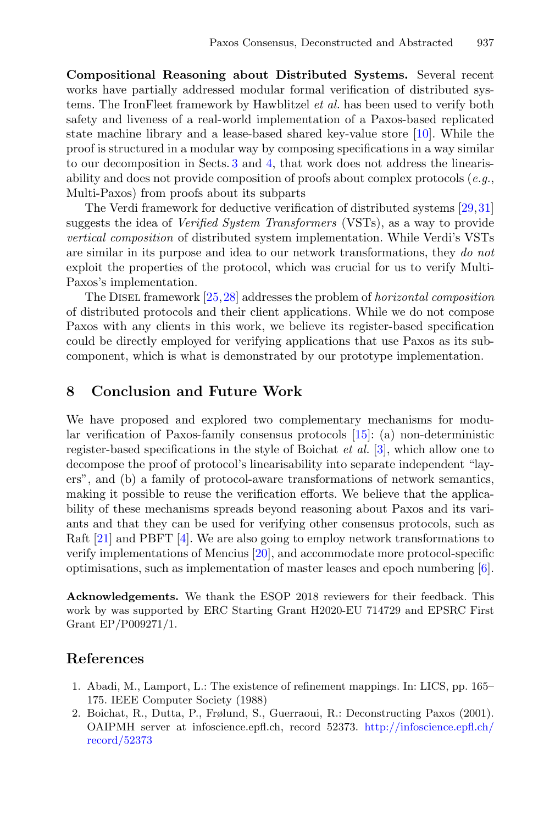**Compositional Reasoning about Distributed Systems.** Several recent works have partially addressed modular formal verification of distributed systems. The IronFleet framework by Hawblitzel *et al.* has been used to verify both safety and liveness of a real-world implementation of a Paxos-based replicated state machine library and a lease-based shared key-value store [\[10](#page-26-10)]. While the proof is structured in a modular way by composing specifications in a way similar to our decomposition in Sects. [3](#page-3-1) and [4,](#page-9-0) that work does not address the linearisability and does not provide composition of proofs about complex protocols (*e.g.*, Multi-Paxos) from proofs about its subparts

The Verdi framework for deductive verification of distributed systems [\[29,](#page-27-5)[31\]](#page-27-6) suggests the idea of *Verified System Transformers* (VSTs), as a way to provide *vertical composition* of distributed system implementation. While Verdi's VSTs are similar in its purpose and idea to our network transformations, they *do not* exploit the properties of the protocol, which was crucial for us to verify Multi-Paxos's implementation.

The Disel framework [\[25,](#page-26-19)[28](#page-27-3)] addresses the problem of *horizontal composition* of distributed protocols and their client applications. While we do not compose Paxos with any clients in this work, we believe its register-based specification could be directly employed for verifying applications that use Paxos as its subcomponent, which is what is demonstrated by our prototype implementation.

## **8 Conclusion and Future Work**

We have proposed and explored two complementary mechanisms for modular verification of Paxos-family consensus protocols [\[15\]](#page-26-1): (a) non-deterministic register-based specifications in the style of Boichat *et al.* [\[3\]](#page-26-2), which allow one to decompose the proof of protocol's linearisability into separate independent "layers", and (b) a family of protocol-aware transformations of network semantics, making it possible to reuse the verification efforts. We believe that the applicability of these mechanisms spreads beyond reasoning about Paxos and its variants and that they can be used for verifying other consensus protocols, such as Raft [\[21](#page-26-20)] and PBFT [\[4](#page-26-21)]. We are also going to employ network transformations to verify implementations of Mencius [\[20](#page-26-22)], and accommodate more protocol-specific optimisations, such as implementation of master leases and epoch numbering [\[6\]](#page-26-9).

**Acknowledgements.** We thank the ESOP 2018 reviewers for their feedback. This work by was supported by ERC Starting Grant H2020-EU 714729 and EPSRC First Grant EP/P009271/1.

## **References**

- <span id="page-25-1"></span>1. Abadi, M., Lamport, L.: The existence of refinement mappings. In: LICS, pp. 165– 175. IEEE Computer Society (1988)
- <span id="page-25-0"></span>2. Boichat, R., Dutta, P., Frølund, S., Guerraoui, R.: Deconstructing Paxos (2001). OAIPMH server at infoscience.epfl.ch, record 52373. [http://infoscience.epfl.ch/](http://infoscience.epfl.ch/record/52373) [record/52373](http://infoscience.epfl.ch/record/52373)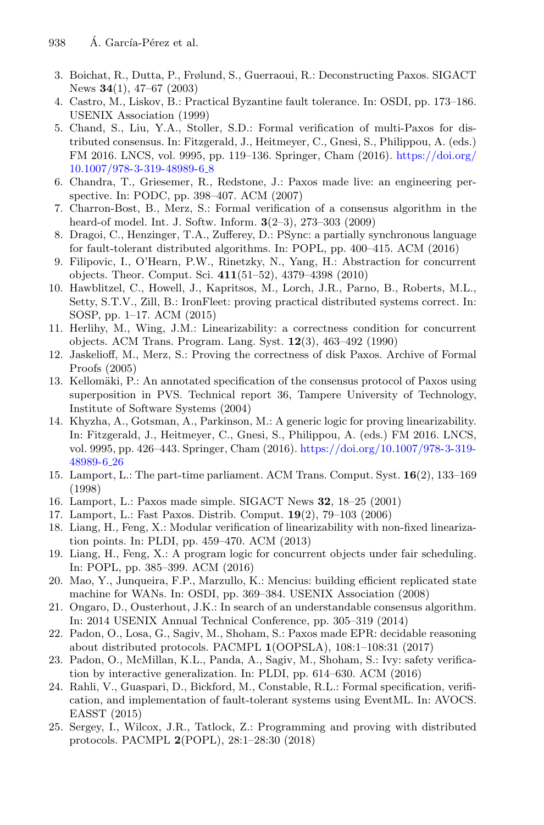- <span id="page-26-2"></span>3. Boichat, R., Dutta, P., Frølund, S., Guerraoui, R.: Deconstructing Paxos. SIGACT News **34**(1), 47–67 (2003)
- <span id="page-26-21"></span>4. Castro, M., Liskov, B.: Practical Byzantine fault tolerance. In: OSDI, pp. 173–186. USENIX Association (1999)
- <span id="page-26-6"></span>5. Chand, S., Liu, Y.A., Stoller, S.D.: Formal verification of multi-Paxos for distributed consensus. In: Fitzgerald, J., Heitmeyer, C., Gnesi, S., Philippou, A. (eds.) FM 2016. LNCS, vol. 9995, pp. 119–136. Springer, Cham (2016). [https://doi.org/](https://doi.org/10.1007/978-3-319-48989-6_8) [10.1007/978-3-319-48989-6](https://doi.org/10.1007/978-3-319-48989-6_8) 8
- <span id="page-26-9"></span>6. Chandra, T., Griesemer, R., Redstone, J.: Paxos made live: an engineering perspective. In: PODC, pp. 398–407. ACM (2007)
- <span id="page-26-18"></span>7. Charron-Bost, B., Merz, S.: Formal verification of a consensus algorithm in the heard-of model. Int. J. Softw. Inform. **3**(2–3), 273–303 (2009)
- <span id="page-26-17"></span>8. Dragoi, C., Henzinger, T.A., Zufferey, D.: PSync: a partially synchronous language for fault-tolerant distributed algorithms. In: POPL, pp. 400–415. ACM (2016)
- <span id="page-26-3"></span>9. Filipovic, I., O'Hearn, P.W., Rinetzky, N., Yang, H.: Abstraction for concurrent objects. Theor. Comput. Sci. **411**(51–52), 4379–4398 (2010)
- <span id="page-26-10"></span>10. Hawblitzel, C., Howell, J., Kapritsos, M., Lorch, J.R., Parno, B., Roberts, M.L., Setty, S.T.V., Zill, B.: IronFleet: proving practical distributed systems correct. In: SOSP, pp. 1–17. ACM (2015)
- <span id="page-26-4"></span>11. Herlihy, M., Wing, J.M.: Linearizability: a correctness condition for concurrent objects. ACM Trans. Program. Lang. Syst. **12**(3), 463–492 (1990)
- <span id="page-26-16"></span>12. Jaskelioff, M., Merz, S.: Proving the correctness of disk Paxos. Archive of Formal Proofs (2005)
- <span id="page-26-15"></span>13. Kellomäki, P.: An annotated specification of the consensus protocol of Paxos using superposition in PVS. Technical report 36, Tampere University of Technology, Institute of Software Systems (2004)
- <span id="page-26-12"></span>14. Khyzha, A., Gotsman, A., Parkinson, M.: A generic logic for proving linearizability. In: Fitzgerald, J., Heitmeyer, C., Gnesi, S., Philippou, A. (eds.) FM 2016. LNCS, vol. 9995, pp. 426–443. Springer, Cham (2016). [https://doi.org/10.1007/978-3-319-](https://doi.org/10.1007/978-3-319-48989-6_26) [48989-6](https://doi.org/10.1007/978-3-319-48989-6_26) 26
- <span id="page-26-1"></span>15. Lamport, L.: The part-time parliament. ACM Trans. Comput. Syst. **16**(2), 133–169 (1998)
- <span id="page-26-0"></span>16. Lamport, L.: Paxos made simple. SIGACT News **32**, 18–25 (2001)
- <span id="page-26-14"></span>17. Lamport, L.: Fast Paxos. Distrib. Comput. **19**(2), 79–103 (2006)
- <span id="page-26-5"></span>18. Liang, H., Feng, X.: Modular verification of linearizability with non-fixed linearization points. In: PLDI, pp. 459–470. ACM (2013)
- <span id="page-26-13"></span>19. Liang, H., Feng, X.: A program logic for concurrent objects under fair scheduling. In: POPL, pp. 385–399. ACM (2016)
- <span id="page-26-22"></span>20. Mao, Y., Junqueira, F.P., Marzullo, K.: Mencius: building efficient replicated state machine for WANs. In: OSDI, pp. 369–384. USENIX Association (2008)
- <span id="page-26-20"></span>21. Ongaro, D., Ousterhout, J.K.: In search of an understandable consensus algorithm. In: 2014 USENIX Annual Technical Conference, pp. 305–319 (2014)
- <span id="page-26-7"></span>22. Padon, O., Losa, G., Sagiv, M., Shoham, S.: Paxos made EPR: decidable reasoning about distributed protocols. PACMPL **1**(OOPSLA), 108:1–108:31 (2017)
- <span id="page-26-11"></span>23. Padon, O., McMillan, K.L., Panda, A., Sagiv, M., Shoham, S.: Ivy: safety verification by interactive generalization. In: PLDI, pp. 614–630. ACM (2016)
- <span id="page-26-8"></span>24. Rahli, V., Guaspari, D., Bickford, M., Constable, R.L.: Formal specification, verification, and implementation of fault-tolerant systems using EventML. In: AVOCS. EASST (2015)
- <span id="page-26-19"></span>25. Sergey, I., Wilcox, J.R., Tatlock, Z.: Programming and proving with distributed protocols. PACMPL **2**(POPL), 28:1–28:30 (2018)